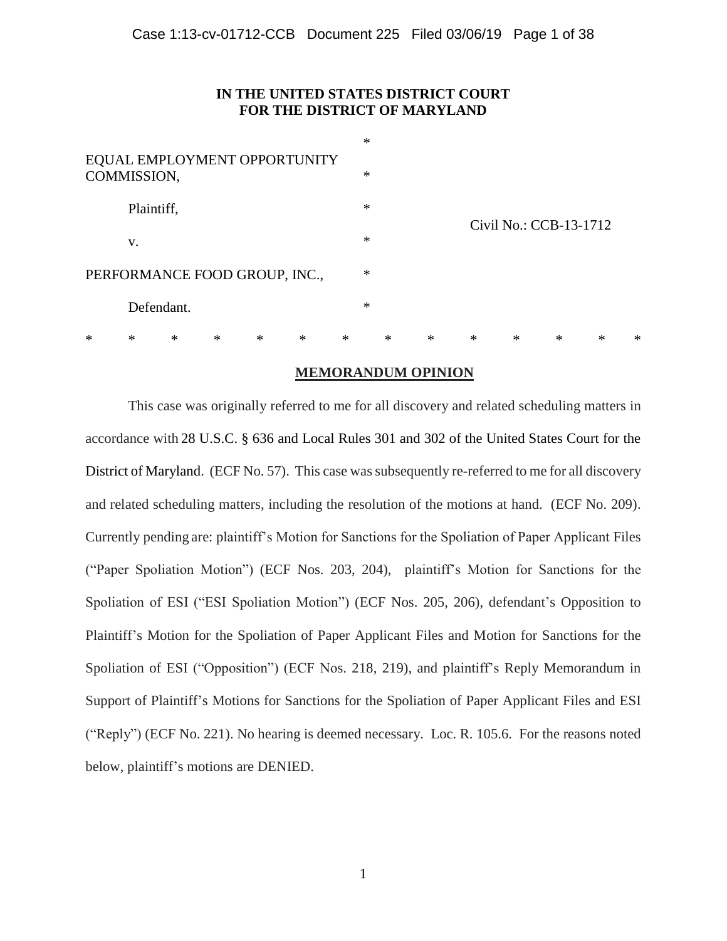# **IN THE UNITED STATES DISTRICT COURT FOR THE DISTRICT OF MARYLAND**

| *                                           | $\ast$     | * | $\ast$ | $\ast$ | $\ast$ | *      |        | * | $\ast$ | $\ast$                 | ∗ | * | $\ast$ | $\ast$ |
|---------------------------------------------|------------|---|--------|--------|--------|--------|--------|---|--------|------------------------|---|---|--------|--------|
|                                             | Defendant. |   |        |        |        |        | $\ast$ |   |        |                        |   |   |        |        |
| PERFORMANCE FOOD GROUP, INC.,               |            |   |        |        |        |        | $\ast$ |   |        |                        |   |   |        |        |
|                                             | v.         |   |        |        |        |        | $\ast$ |   |        |                        |   |   |        |        |
|                                             | Plaintiff, |   |        |        |        |        | $\ast$ |   |        | Civil No.: CCB-13-1712 |   |   |        |        |
| EQUAL EMPLOYMENT OPPORTUNITY<br>COMMISSION, |            |   |        |        |        | $\ast$ |        |   |        |                        |   |   |        |        |
|                                             |            |   |        |        |        |        | $\ast$ |   |        |                        |   |   |        |        |

## **MEMORANDUM OPINION**

This case was originally referred to me for all discovery and related scheduling matters in accordance with 28 U.S.C. § 636 and Local Rules 301 and 302 of the United States Court for the District of Maryland. (ECF No. 57). This case was subsequently re-referred to me for all discovery and related scheduling matters, including the resolution of the motions at hand. (ECF No. 209). Currently pending are: plaintiff's Motion for Sanctions for the Spoliation of Paper Applicant Files ("Paper Spoliation Motion") (ECF Nos. 203, 204), plaintiff's Motion for Sanctions for the Spoliation of ESI ("ESI Spoliation Motion") (ECF Nos. 205, 206), defendant's Opposition to Plaintiff's Motion for the Spoliation of Paper Applicant Files and Motion for Sanctions for the Spoliation of ESI ("Opposition") (ECF Nos. 218, 219), and plaintiff's Reply Memorandum in Support of Plaintiff's Motions for Sanctions for the Spoliation of Paper Applicant Files and ESI ("Reply") (ECF No. 221). No hearing is deemed necessary. Loc. R. 105.6. For the reasons noted below, plaintiff's motions are DENIED.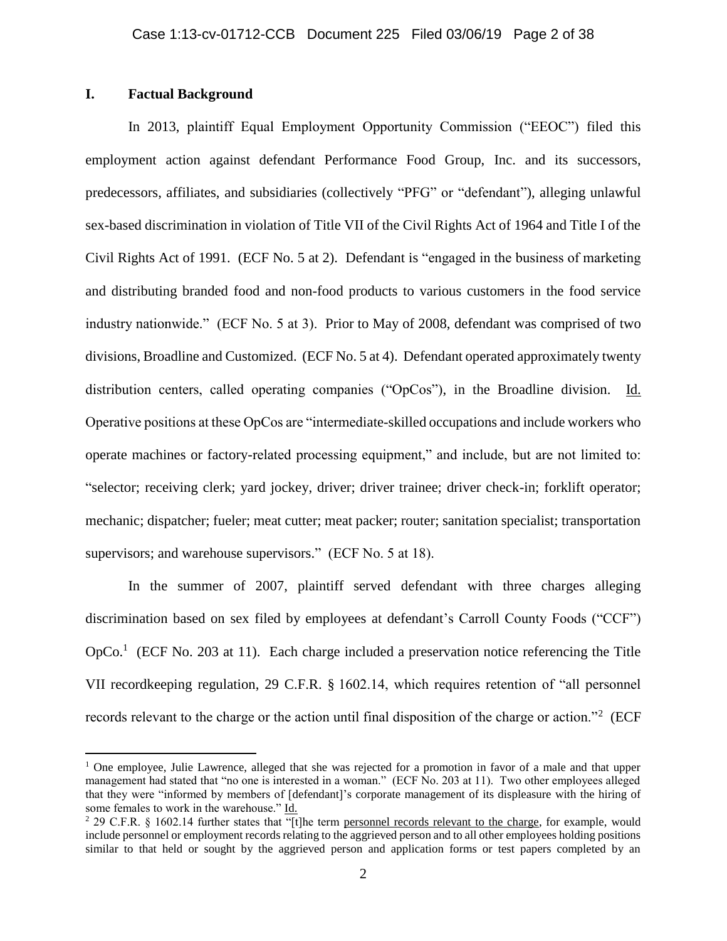# **I. Factual Background**

 $\overline{a}$ 

In 2013, plaintiff Equal Employment Opportunity Commission ("EEOC") filed this employment action against defendant Performance Food Group, Inc. and its successors, predecessors, affiliates, and subsidiaries (collectively "PFG" or "defendant"), alleging unlawful sex-based discrimination in violation of Title VII of the Civil Rights Act of 1964 and Title I of the Civil Rights Act of 1991. (ECF No. 5 at 2). Defendant is "engaged in the business of marketing and distributing branded food and non-food products to various customers in the food service industry nationwide." (ECF No. 5 at 3). Prior to May of 2008, defendant was comprised of two divisions, Broadline and Customized. (ECF No. 5 at 4). Defendant operated approximately twenty distribution centers, called operating companies ("OpCos"), in the Broadline division. Id. Operative positions at these OpCos are "intermediate-skilled occupations and include workers who operate machines or factory-related processing equipment," and include, but are not limited to: "selector; receiving clerk; yard jockey, driver; driver trainee; driver check-in; forklift operator; mechanic; dispatcher; fueler; meat cutter; meat packer; router; sanitation specialist; transportation supervisors; and warehouse supervisors." (ECF No. 5 at 18).

In the summer of 2007, plaintiff served defendant with three charges alleging discrimination based on sex filed by employees at defendant's Carroll County Foods ("CCF") OpCo.<sup>1</sup> (ECF No. 203 at 11). Each charge included a preservation notice referencing the Title VII recordkeeping regulation, 29 C.F.R. § 1602.14, which requires retention of "all personnel records relevant to the charge or the action until final disposition of the charge or action."<sup>2</sup> (ECF

<sup>&</sup>lt;sup>1</sup> One employee, Julie Lawrence, alleged that she was rejected for a promotion in favor of a male and that upper management had stated that "no one is interested in a woman." (ECF No. 203 at 11). Two other employees alleged that they were "informed by members of [defendant]'s corporate management of its displeasure with the hiring of some females to work in the warehouse." Id.

<sup>&</sup>lt;sup>2</sup> 29 C.F.R. § 1602.14 further states that "[t]he term personnel records relevant to the charge, for example, would include personnel or employment records relating to the aggrieved person and to all other employees holding positions similar to that held or sought by the aggrieved person and application forms or test papers completed by an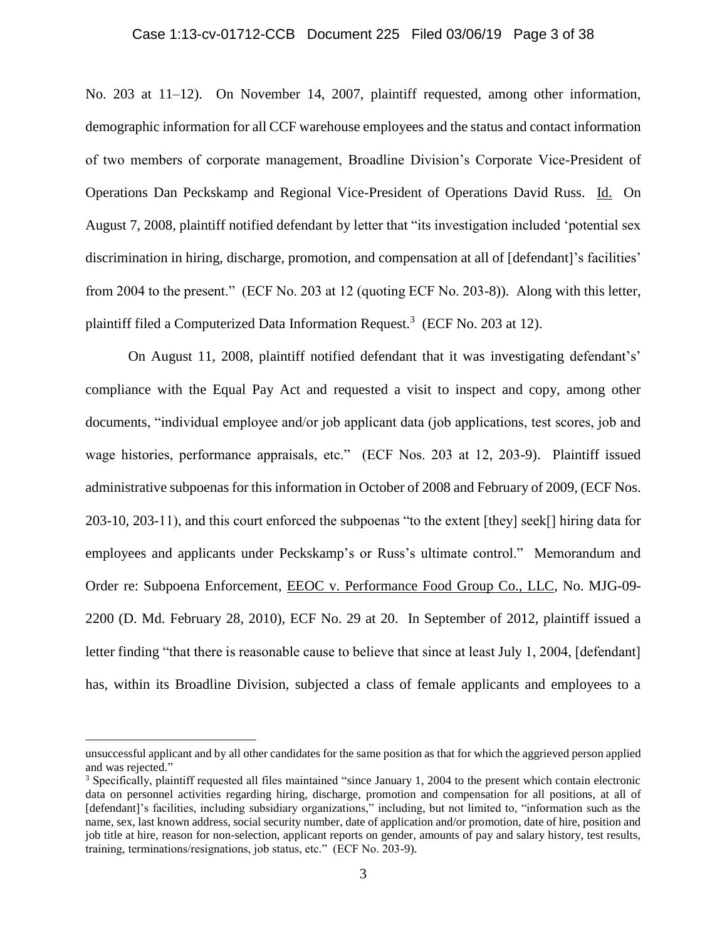### Case 1:13-cv-01712-CCB Document 225 Filed 03/06/19 Page 3 of 38

No. 203 at 11–12). On November 14, 2007, plaintiff requested, among other information, demographic information for all CCF warehouse employees and the status and contact information of two members of corporate management, Broadline Division's Corporate Vice-President of Operations Dan Peckskamp and Regional Vice-President of Operations David Russ. Id. On August 7, 2008, plaintiff notified defendant by letter that "its investigation included 'potential sex discrimination in hiring, discharge, promotion, and compensation at all of [defendant]'s facilities' from 2004 to the present." (ECF No. 203 at 12 (quoting ECF No. 203-8)). Along with this letter, plaintiff filed a Computerized Data Information Request.<sup>3</sup> (ECF No. 203 at 12).

On August 11, 2008, plaintiff notified defendant that it was investigating defendant's' compliance with the Equal Pay Act and requested a visit to inspect and copy, among other documents, "individual employee and/or job applicant data (job applications, test scores, job and wage histories, performance appraisals, etc." (ECF Nos. 203 at 12, 203-9). Plaintiff issued administrative subpoenas for this information in October of 2008 and February of 2009, (ECF Nos. 203-10, 203-11), and this court enforced the subpoenas "to the extent [they] seek[] hiring data for employees and applicants under Peckskamp's or Russ's ultimate control." Memorandum and Order re: Subpoena Enforcement, EEOC v. Performance Food Group Co., LLC, No. MJG-09- 2200 (D. Md. February 28, 2010), ECF No. 29 at 20. In September of 2012, plaintiff issued a letter finding "that there is reasonable cause to believe that since at least July 1, 2004, [defendant] has, within its Broadline Division, subjected a class of female applicants and employees to a

unsuccessful applicant and by all other candidates for the same position as that for which the aggrieved person applied and was rejected."

<sup>3</sup> Specifically, plaintiff requested all files maintained "since January 1, 2004 to the present which contain electronic data on personnel activities regarding hiring, discharge, promotion and compensation for all positions, at all of [defendant]'s facilities, including subsidiary organizations," including, but not limited to, "information such as the name, sex, last known address, social security number, date of application and/or promotion, date of hire, position and job title at hire, reason for non-selection, applicant reports on gender, amounts of pay and salary history, test results, training, terminations/resignations, job status, etc." (ECF No. 203-9).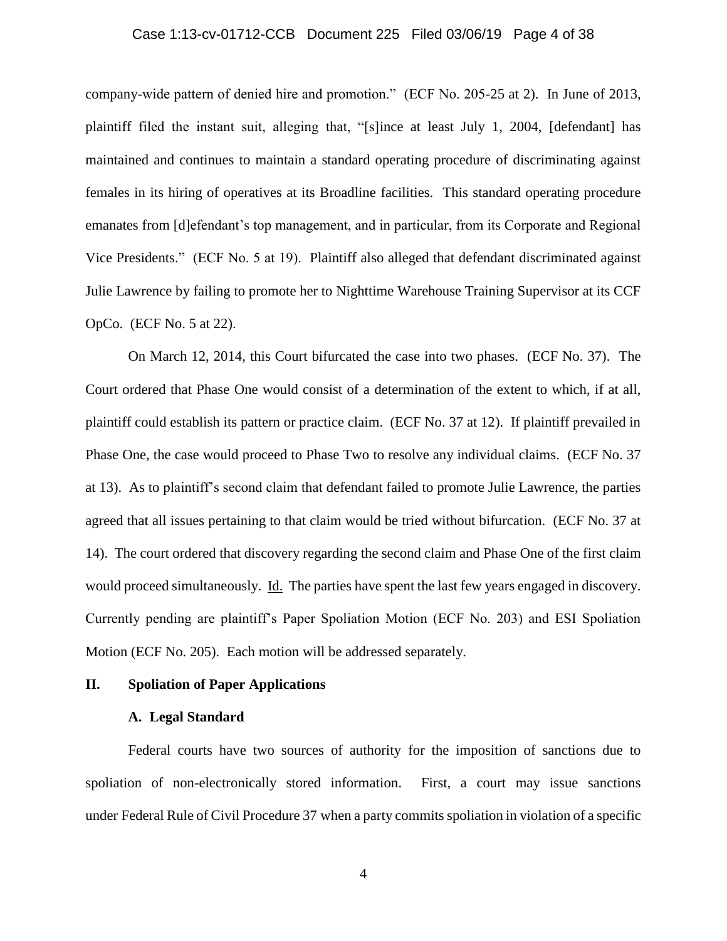## Case 1:13-cv-01712-CCB Document 225 Filed 03/06/19 Page 4 of 38

company-wide pattern of denied hire and promotion." (ECF No. 205-25 at 2). In June of 2013, plaintiff filed the instant suit, alleging that, "[s]ince at least July 1, 2004, [defendant] has maintained and continues to maintain a standard operating procedure of discriminating against females in its hiring of operatives at its Broadline facilities. This standard operating procedure emanates from [d]efendant's top management, and in particular, from its Corporate and Regional Vice Presidents." (ECF No. 5 at 19). Plaintiff also alleged that defendant discriminated against Julie Lawrence by failing to promote her to Nighttime Warehouse Training Supervisor at its CCF OpCo. (ECF No. 5 at 22).

On March 12, 2014, this Court bifurcated the case into two phases. (ECF No. 37). The Court ordered that Phase One would consist of a determination of the extent to which, if at all, plaintiff could establish its pattern or practice claim. (ECF No. 37 at 12). If plaintiff prevailed in Phase One, the case would proceed to Phase Two to resolve any individual claims. (ECF No. 37 at 13). As to plaintiff's second claim that defendant failed to promote Julie Lawrence, the parties agreed that all issues pertaining to that claim would be tried without bifurcation. (ECF No. 37 at 14). The court ordered that discovery regarding the second claim and Phase One of the first claim would proceed simultaneously. Id. The parties have spent the last few years engaged in discovery. Currently pending are plaintiff's Paper Spoliation Motion (ECF No. 203) and ESI Spoliation Motion (ECF No. 205). Each motion will be addressed separately.

### **II. Spoliation of Paper Applications**

### **A. Legal Standard**

Federal courts have two sources of authority for the imposition of sanctions due to spoliation of non-electronically stored information. First, a court may issue sanctions under Federal Rule of Civil Procedure 37 when a party commits spoliation in violation of a specific

4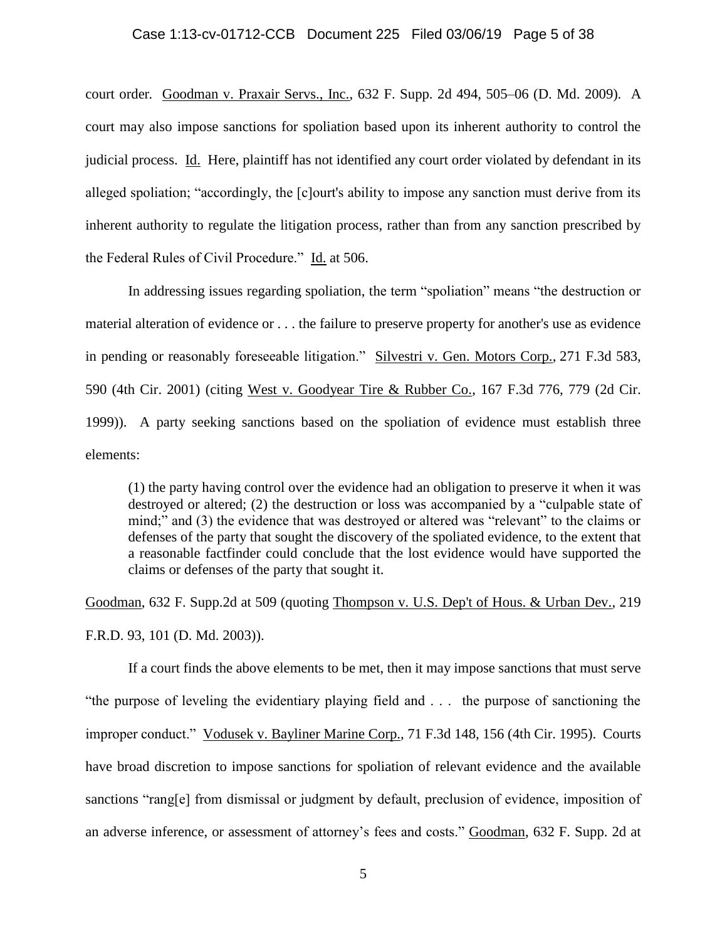### Case 1:13-cv-01712-CCB Document 225 Filed 03/06/19 Page 5 of 38

court order*.* Goodman v. Praxair Servs., Inc., 632 F. Supp. 2d 494, 505–06 (D. Md. 2009)*.* A court may also impose sanctions for spoliation based upon its inherent authority to control the judicial process. Id. Here, plaintiff has not identified any court order violated by defendant in its alleged spoliation; "accordingly, the [c]ourt's ability to impose any sanction must derive from its inherent authority to regulate the litigation process, rather than from any sanction prescribed by the Federal Rules of Civil Procedure." Id. at 506.

In addressing issues regarding spoliation, the term "spoliation" means "the destruction or material alteration of evidence or . . . the failure to preserve property for another's use as evidence in pending or reasonably foreseeable litigation." Silvestri v. Gen. Motors Corp., 271 F.3d 583, 590 (4th Cir. 2001) (citing West v. Goodyear Tire & Rubber Co., 167 F.3d 776, 779 (2d Cir. 1999)). A party seeking sanctions based on the spoliation of evidence must establish three elements:

(1) the party having control over the evidence had an obligation to preserve it when it was destroyed or altered; (2) the destruction or loss was accompanied by a "culpable state of mind;" and (3) the evidence that was destroyed or altered was "relevant" to the claims or defenses of the party that sought the discovery of the spoliated evidence, to the extent that a reasonable factfinder could conclude that the lost evidence would have supported the claims or defenses of the party that sought it.

Goodman, 632 F. Supp.2d at 509 (quoting Thompson v. U.S. Dep't of Hous. & Urban Dev., 219 F.R.D. 93, 101 (D. Md. 2003)).

If a court finds the above elements to be met, then it may impose sanctions that must serve "the purpose of leveling the evidentiary playing field and . . . the purpose of sanctioning the improper conduct." Vodusek v. Bayliner Marine Corp., 71 F.3d 148, 156 (4th Cir. 1995). Courts have broad discretion to impose sanctions for spoliation of relevant evidence and the available sanctions "rang[e] from dismissal or judgment by default, preclusion of evidence, imposition of an adverse inference, or assessment of attorney's fees and costs." Goodman, 632 F. Supp. 2d at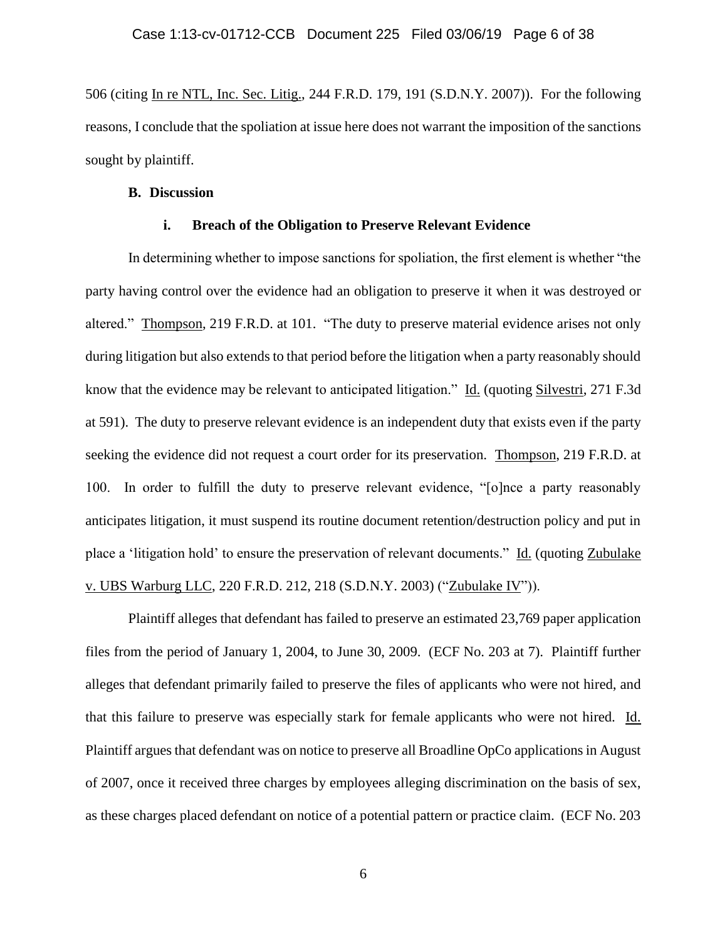506 (citing In re NTL, Inc. Sec. Litig., 244 F.R.D. 179, 191 (S.D.N.Y. 2007)). For the following reasons, I conclude that the spoliation at issue here does not warrant the imposition of the sanctions sought by plaintiff.

### **B. Discussion**

### **i. Breach of the Obligation to Preserve Relevant Evidence**

In determining whether to impose sanctions for spoliation, the first element is whether "the party having control over the evidence had an obligation to preserve it when it was destroyed or altered." Thompson, 219 F.R.D. at 101. "The duty to preserve material evidence arises not only during litigation but also extends to that period before the litigation when a party reasonably should know that the evidence may be relevant to anticipated litigation." Id. (quoting Silvestri, 271 F.3d at 591). The duty to preserve relevant evidence is an independent duty that exists even if the party seeking the evidence did not request a court order for its preservation. Thompson, 219 F.R.D. at 100. In order to fulfill the duty to preserve relevant evidence, "[o]nce a party reasonably anticipates litigation, it must suspend its routine document retention/destruction policy and put in place a 'litigation hold' to ensure the preservation of relevant documents." Id. (quoting Zubulake v. UBS Warburg LLC, 220 F.R.D. 212, 218 (S.D.N.Y. 2003) ("Zubulake IV")).

Plaintiff alleges that defendant has failed to preserve an estimated 23,769 paper application files from the period of January 1, 2004, to June 30, 2009. (ECF No. 203 at 7). Plaintiff further alleges that defendant primarily failed to preserve the files of applicants who were not hired, and that this failure to preserve was especially stark for female applicants who were not hired. Id. Plaintiff argues that defendant was on notice to preserve all Broadline OpCo applications in August of 2007, once it received three charges by employees alleging discrimination on the basis of sex, as these charges placed defendant on notice of a potential pattern or practice claim. (ECF No. 203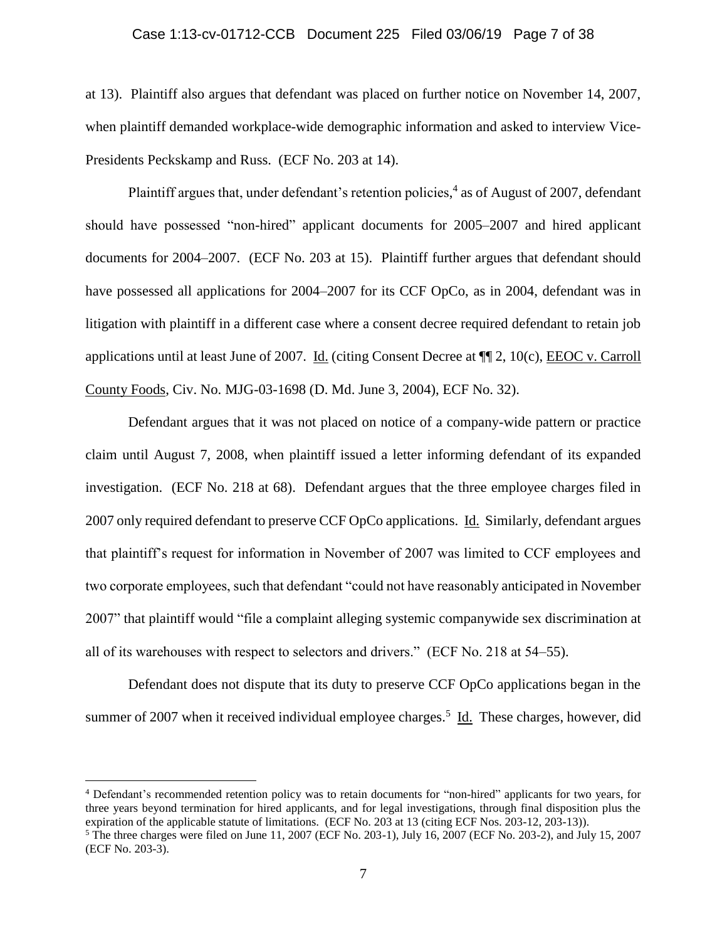### Case 1:13-cv-01712-CCB Document 225 Filed 03/06/19 Page 7 of 38

at 13). Plaintiff also argues that defendant was placed on further notice on November 14, 2007, when plaintiff demanded workplace-wide demographic information and asked to interview Vice-Presidents Peckskamp and Russ. (ECF No. 203 at 14).

Plaintiff argues that, under defendant's retention policies,<sup>4</sup> as of August of 2007, defendant should have possessed "non-hired" applicant documents for 2005–2007 and hired applicant documents for 2004–2007. (ECF No. 203 at 15). Plaintiff further argues that defendant should have possessed all applications for 2004–2007 for its CCF OpCo, as in 2004, defendant was in litigation with plaintiff in a different case where a consent decree required defendant to retain job applications until at least June of 2007. Id. (citing Consent Decree at ¶¶ 2, 10(c), EEOC v. Carroll County Foods, Civ. No. MJG-03-1698 (D. Md. June 3, 2004), ECF No. 32).

Defendant argues that it was not placed on notice of a company-wide pattern or practice claim until August 7, 2008, when plaintiff issued a letter informing defendant of its expanded investigation. (ECF No. 218 at 68). Defendant argues that the three employee charges filed in 2007 only required defendant to preserve CCF OpCo applications. Id. Similarly, defendant argues that plaintiff's request for information in November of 2007 was limited to CCF employees and two corporate employees, such that defendant "could not have reasonably anticipated in November 2007" that plaintiff would "file a complaint alleging systemic companywide sex discrimination at all of its warehouses with respect to selectors and drivers." (ECF No. 218 at 54–55).

Defendant does not dispute that its duty to preserve CCF OpCo applications began in the summer of 2007 when it received individual employee charges.<sup>5</sup> Id. These charges, however, did

<sup>4</sup> Defendant's recommended retention policy was to retain documents for "non-hired" applicants for two years, for three years beyond termination for hired applicants, and for legal investigations, through final disposition plus the expiration of the applicable statute of limitations. (ECF No. 203 at 13 (citing ECF Nos. 203-12, 203-13)).

<sup>5</sup> The three charges were filed on June 11, 2007 (ECF No. 203-1), July 16, 2007 (ECF No. 203-2), and July 15, 2007 (ECF No. 203-3).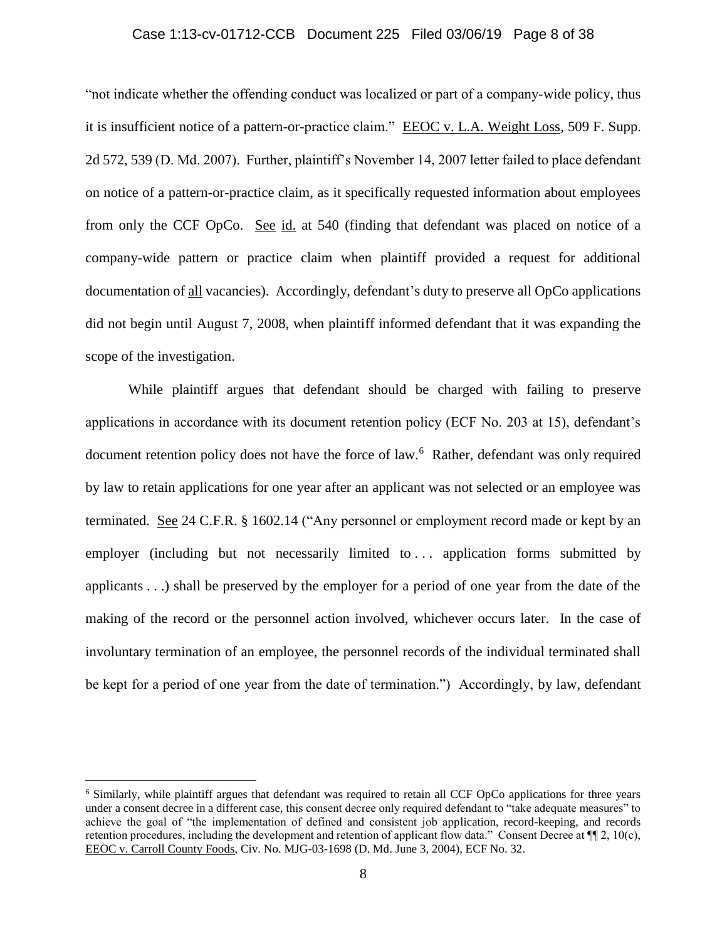## Case 1:13-cv-01712-CCB Document 225 Filed 03/06/19 Page 8 of 38

"not indicate whether the offending conduct was localized or part of a company-wide policy, thus it is insufficient notice of a pattern-or-practice claim." EEOC v. L.A. Weight Loss, 509 F. Supp. 2d 572, 539 (D. Md. 2007). Further, plaintiff's November 14, 2007 letter failed to place defendant on notice of a pattern-or-practice claim, as it specifically requested information about employees from only the CCF OpCo. See id. at 540 (finding that defendant was placed on notice of a company-wide pattern or practice claim when plaintiff provided a request for additional documentation of all vacancies). Accordingly, defendant's duty to preserve all OpCo applications did not begin until August 7, 2008, when plaintiff informed defendant that it was expanding the scope of the investigation.

While plaintiff argues that defendant should be charged with failing to preserve applications in accordance with its document retention policy (ECF No. 203 at 15), defendant's document retention policy does not have the force of law.<sup>6</sup> Rather, defendant was only required by law to retain applications for one year after an applicant was not selected or an employee was terminated. See 24 C.F.R. § 1602.14 ("Any personnel or employment record made or kept by an employer (including but not necessarily limited to ... application forms submitted by applicants . . .) shall be preserved by the employer for a period of one year from the date of the making of the record or the personnel action involved, whichever occurs later. In the case of involuntary termination of an employee, the personnel records of the individual terminated shall be kept for a period of one year from the date of termination.") Accordingly, by law, defendant

<sup>6</sup> Similarly, while plaintiff argues that defendant was required to retain all CCF OpCo applications for three years under a consent decree in a different case, this consent decree only required defendant to "take adequate measures" to achieve the goal of "the implementation of defined and consistent job application, record-keeping, and records retention procedures, including the development and retention of applicant flow data." Consent Decree at  $\P$ [2, 10(c), EEOC v. Carroll County Foods, Civ. No. MJG-03-1698 (D. Md. June 3, 2004), ECF No. 32.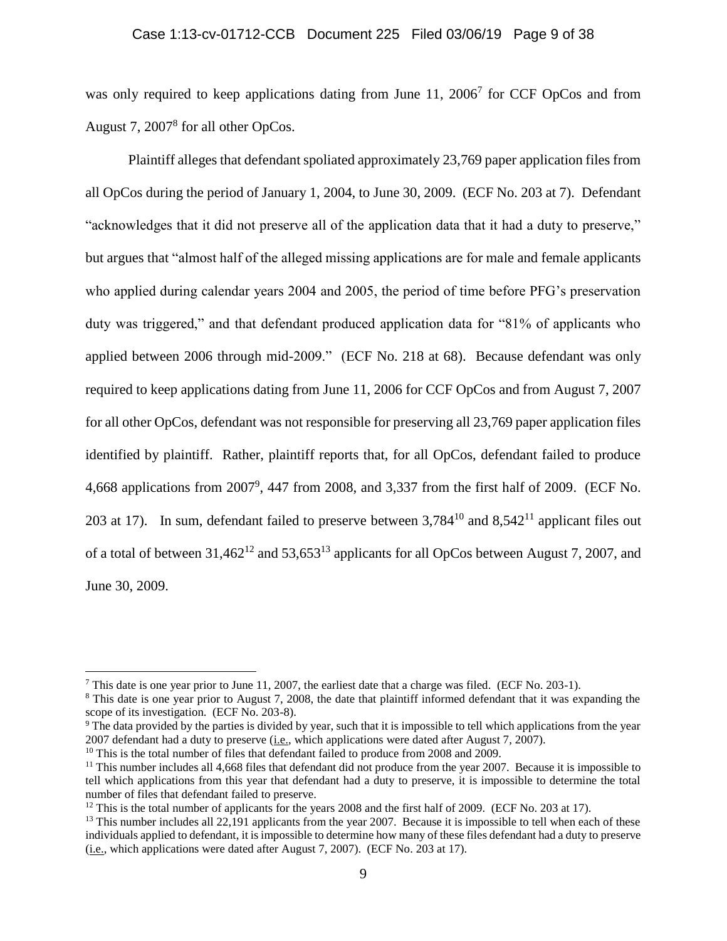## Case 1:13-cv-01712-CCB Document 225 Filed 03/06/19 Page 9 of 38

was only required to keep applications dating from June 11, 2006<sup>7</sup> for CCF OpCos and from August 7, 2007<sup>8</sup> for all other OpCos.

Plaintiff alleges that defendant spoliated approximately 23,769 paper application files from all OpCos during the period of January 1, 2004, to June 30, 2009. (ECF No. 203 at 7). Defendant "acknowledges that it did not preserve all of the application data that it had a duty to preserve," but argues that "almost half of the alleged missing applications are for male and female applicants who applied during calendar years 2004 and 2005, the period of time before PFG's preservation duty was triggered," and that defendant produced application data for "81% of applicants who applied between 2006 through mid-2009." (ECF No. 218 at 68). Because defendant was only required to keep applications dating from June 11, 2006 for CCF OpCos and from August 7, 2007 for all other OpCos, defendant was not responsible for preserving all 23,769 paper application files identified by plaintiff. Rather, plaintiff reports that, for all OpCos, defendant failed to produce 4,668 applications from 2007<sup>9</sup>, 447 from 2008, and 3,337 from the first half of 2009. (ECF No. 203 at 17). In sum, defendant failed to preserve between  $3.784^{10}$  and  $8.542^{11}$  applicant files out of a total of between  $31,462^{12}$  and  $53,653^{13}$  applicants for all OpCos between August 7, 2007, and June 30, 2009.

<sup>7</sup> This date is one year prior to June 11, 2007, the earliest date that a charge was filed. (ECF No. 203-1).

<sup>8</sup> This date is one year prior to August 7, 2008, the date that plaintiff informed defendant that it was expanding the scope of its investigation. (ECF No. 203-8).

<sup>&</sup>lt;sup>9</sup> The data provided by the parties is divided by year, such that it is impossible to tell which applications from the year 2007 defendant had a duty to preserve (i.e., which applications were dated after August 7, 2007).

<sup>&</sup>lt;sup>10</sup> This is the total number of files that defendant failed to produce from 2008 and 2009.

 $11$  This number includes all 4,668 files that defendant did not produce from the year 2007. Because it is impossible to tell which applications from this year that defendant had a duty to preserve, it is impossible to determine the total number of files that defendant failed to preserve.

 $12$  This is the total number of applicants for the years 2008 and the first half of 2009. (ECF No. 203 at 17).

<sup>&</sup>lt;sup>13</sup> This number includes all 22,191 applicants from the year 2007. Because it is impossible to tell when each of these individuals applied to defendant, it is impossible to determine how many of these files defendant had a duty to preserve (i.e., which applications were dated after August 7, 2007). (ECF No. 203 at 17).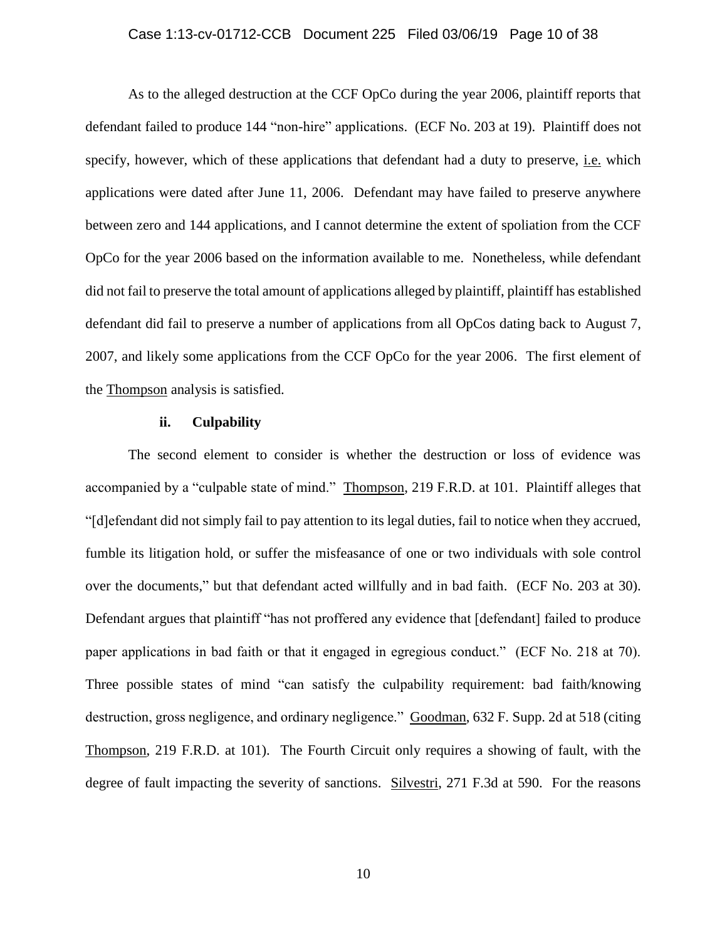### Case 1:13-cv-01712-CCB Document 225 Filed 03/06/19 Page 10 of 38

As to the alleged destruction at the CCF OpCo during the year 2006, plaintiff reports that defendant failed to produce 144 "non-hire" applications. (ECF No. 203 at 19). Plaintiff does not specify, however, which of these applications that defendant had a duty to preserve, i.e. which applications were dated after June 11, 2006. Defendant may have failed to preserve anywhere between zero and 144 applications, and I cannot determine the extent of spoliation from the CCF OpCo for the year 2006 based on the information available to me. Nonetheless, while defendant did not fail to preserve the total amount of applications alleged by plaintiff, plaintiff has established defendant did fail to preserve a number of applications from all OpCos dating back to August 7, 2007, and likely some applications from the CCF OpCo for the year 2006. The first element of the Thompson analysis is satisfied.

#### **ii. Culpability**

The second element to consider is whether the destruction or loss of evidence was accompanied by a "culpable state of mind." Thompson, 219 F.R.D. at 101. Plaintiff alleges that "[d]efendant did not simply fail to pay attention to its legal duties, fail to notice when they accrued, fumble its litigation hold, or suffer the misfeasance of one or two individuals with sole control over the documents," but that defendant acted willfully and in bad faith. (ECF No. 203 at 30). Defendant argues that plaintiff "has not proffered any evidence that [defendant] failed to produce paper applications in bad faith or that it engaged in egregious conduct." (ECF No. 218 at 70). Three possible states of mind "can satisfy the culpability requirement: bad faith/knowing destruction, gross negligence, and ordinary negligence." Goodman, 632 F. Supp. 2d at 518 (citing Thompson, 219 F.R.D. at 101). The Fourth Circuit only requires a showing of fault, with the degree of fault impacting the severity of sanctions. Silvestri, 271 F.3d at 590. For the reasons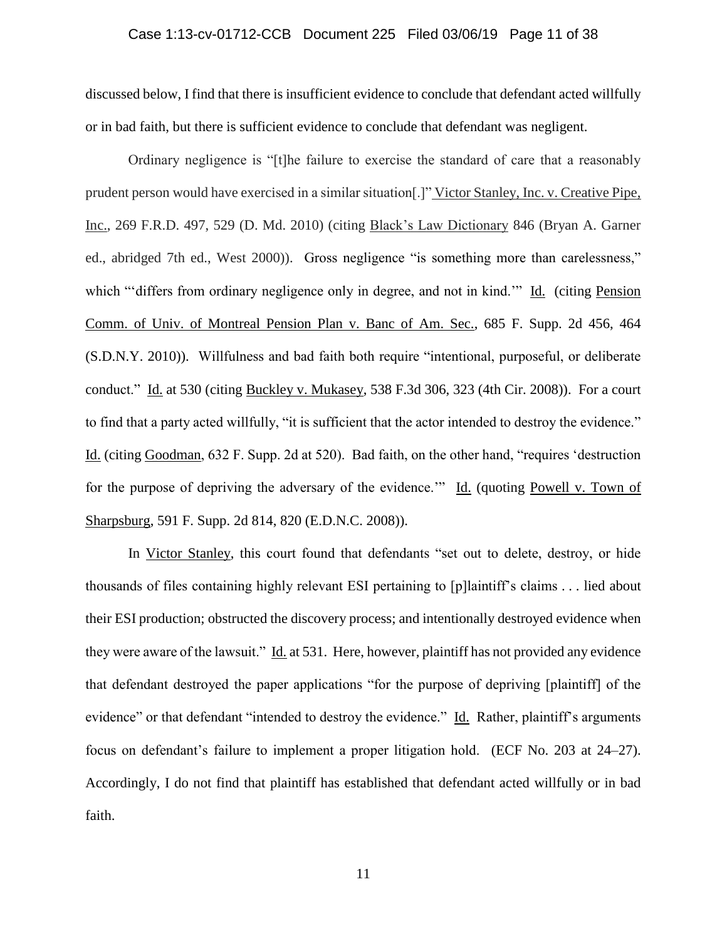## Case 1:13-cv-01712-CCB Document 225 Filed 03/06/19 Page 11 of 38

discussed below, I find that there is insufficient evidence to conclude that defendant acted willfully or in bad faith, but there is sufficient evidence to conclude that defendant was negligent.

Ordinary negligence is "[t]he failure to exercise the standard of care that a reasonably prudent person would have exercised in a similar situation[.]" Victor Stanley, Inc. v. Creative Pipe, Inc., 269 F.R.D. 497, 529 (D. Md. 2010) (citing Black's Law Dictionary 846 (Bryan A. Garner ed., abridged 7th ed., West 2000)). Gross negligence "is something more than carelessness," which ""differs from ordinary negligence only in degree, and not in kind."" Id. *(citing Pension*) Comm. of Univ. of Montreal Pension Plan v. Banc of Am. Sec., 685 F. Supp. 2d 456, 464 (S.D.N.Y. 2010)). Willfulness and bad faith both require "intentional, purposeful, or deliberate conduct." Id. at 530 (citing Buckley v. Mukasey, 538 F.3d 306, 323 (4th Cir. 2008)). For a court to find that a party acted willfully, "it is sufficient that the actor intended to destroy the evidence." Id. (citing Goodman, 632 F. Supp. 2d at 520). Bad faith, on the other hand, "requires 'destruction for the purpose of depriving the adversary of the evidence." Id. (quoting Powell v. Town of Sharpsburg, 591 F. Supp. 2d 814, 820 (E.D.N.C. 2008)).

In Victor Stanley, this court found that defendants "set out to delete, destroy, or hide thousands of files containing highly relevant ESI pertaining to [p]laintiff's claims . . . lied about their ESI production; obstructed the discovery process; and intentionally destroyed evidence when they were aware of the lawsuit." Id. at 531. Here, however, plaintiff has not provided any evidence that defendant destroyed the paper applications "for the purpose of depriving [plaintiff] of the evidence" or that defendant "intended to destroy the evidence." Id. Rather, plaintiff's arguments focus on defendant's failure to implement a proper litigation hold. (ECF No. 203 at 24–27). Accordingly, I do not find that plaintiff has established that defendant acted willfully or in bad faith.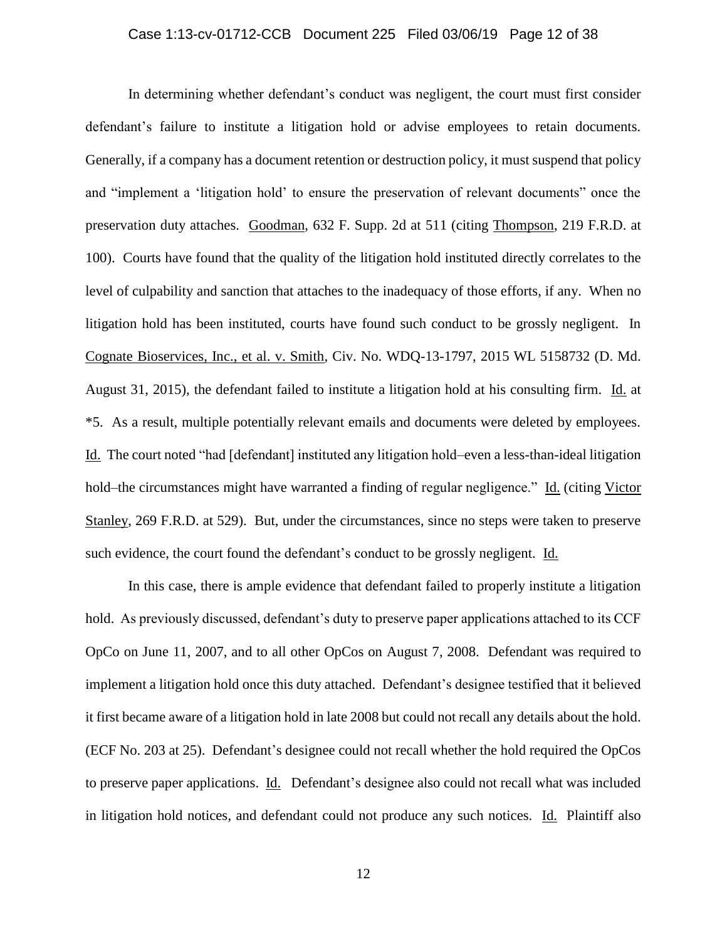In determining whether defendant's conduct was negligent, the court must first consider defendant's failure to institute a litigation hold or advise employees to retain documents. Generally, if a company has a document retention or destruction policy, it must suspend that policy and "implement a 'litigation hold' to ensure the preservation of relevant documents" once the preservation duty attaches. Goodman, 632 F. Supp. 2d at 511 (citing Thompson, 219 F.R.D. at 100). Courts have found that the quality of the litigation hold instituted directly correlates to the level of culpability and sanction that attaches to the inadequacy of those efforts, if any. When no litigation hold has been instituted, courts have found such conduct to be grossly negligent. In Cognate Bioservices, Inc., et al. v. Smith, Civ. No. WDQ-13-1797, 2015 WL 5158732 (D. Md. August 31, 2015), the defendant failed to institute a litigation hold at his consulting firm. Id. at \*5. As a result, multiple potentially relevant emails and documents were deleted by employees. Id. The court noted "had [defendant] instituted any litigation hold–even a less-than-ideal litigation hold–the circumstances might have warranted a finding of regular negligence." Id. (citing Victor Stanley, 269 F.R.D. at 529). But, under the circumstances, since no steps were taken to preserve such evidence, the court found the defendant's conduct to be grossly negligent. Id.

In this case, there is ample evidence that defendant failed to properly institute a litigation hold. As previously discussed, defendant's duty to preserve paper applications attached to its CCF OpCo on June 11, 2007, and to all other OpCos on August 7, 2008. Defendant was required to implement a litigation hold once this duty attached. Defendant's designee testified that it believed it first became aware of a litigation hold in late 2008 but could not recall any details about the hold. (ECF No. 203 at 25). Defendant's designee could not recall whether the hold required the OpCos to preserve paper applications. Id. Defendant's designee also could not recall what was included in litigation hold notices, and defendant could not produce any such notices. Id. Plaintiff also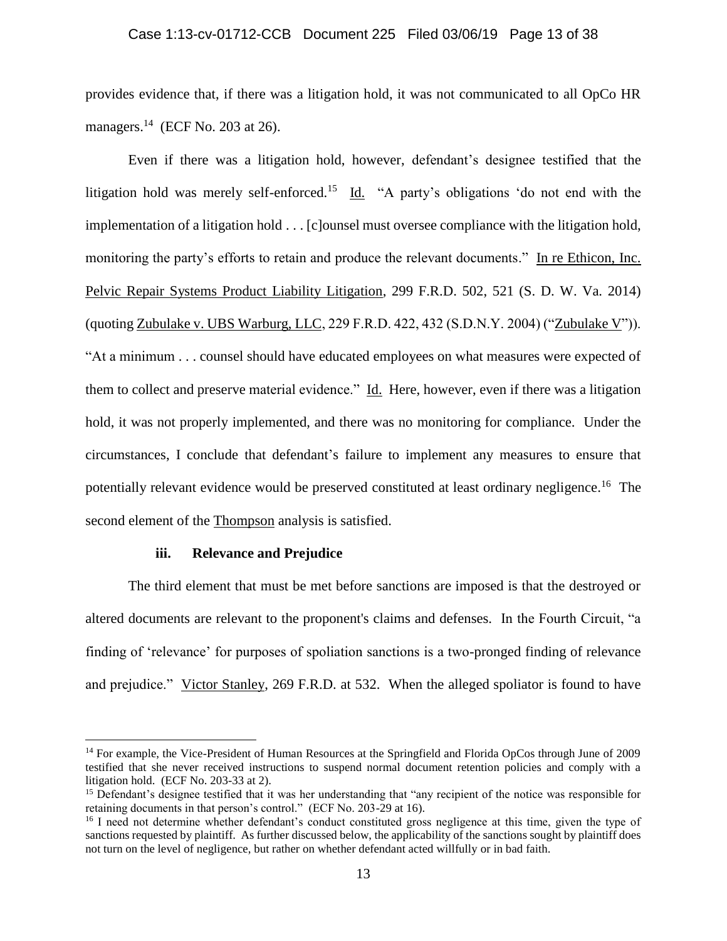provides evidence that, if there was a litigation hold, it was not communicated to all OpCo HR managers. $^{14}$  (ECF No. 203 at 26).

Even if there was a litigation hold, however, defendant's designee testified that the litigation hold was merely self-enforced.<sup>15</sup> Id. "A party's obligations 'do not end with the implementation of a litigation hold . . . [c]ounsel must oversee compliance with the litigation hold, monitoring the party's efforts to retain and produce the relevant documents." In re Ethicon, Inc. Pelvic Repair Systems Product Liability Litigation, 299 F.R.D. 502, 521 (S. D. W. Va. 2014) (quoting Zubulake v. UBS Warburg, LLC, 229 F.R.D. 422, 432 (S.D.N.Y. 2004) ("Zubulake V")). "At a minimum . . . counsel should have educated employees on what measures were expected of them to collect and preserve material evidence." Id. Here, however, even if there was a litigation hold, it was not properly implemented, and there was no monitoring for compliance. Under the circumstances, I conclude that defendant's failure to implement any measures to ensure that potentially relevant evidence would be preserved constituted at least ordinary negligence.<sup>16</sup> The second element of the Thompson analysis is satisfied.

### **iii. Relevance and Prejudice**

 $\overline{a}$ 

The third element that must be met before sanctions are imposed is that the destroyed or altered documents are relevant to the proponent's claims and defenses. In the Fourth Circuit, "a finding of 'relevance' for purposes of spoliation sanctions is a two-pronged finding of relevance and prejudice." Victor Stanley, 269 F.R.D. at 532. When the alleged spoliator is found to have

<sup>&</sup>lt;sup>14</sup> For example, the Vice-President of Human Resources at the Springfield and Florida OpCos through June of 2009 testified that she never received instructions to suspend normal document retention policies and comply with a litigation hold. (ECF No. 203-33 at 2).

<sup>&</sup>lt;sup>15</sup> Defendant's designee testified that it was her understanding that "any recipient of the notice was responsible for retaining documents in that person's control." (ECF No. 203-29 at 16).

<sup>&</sup>lt;sup>16</sup> I need not determine whether defendant's conduct constituted gross negligence at this time, given the type of sanctions requested by plaintiff. As further discussed below, the applicability of the sanctions sought by plaintiff does not turn on the level of negligence, but rather on whether defendant acted willfully or in bad faith.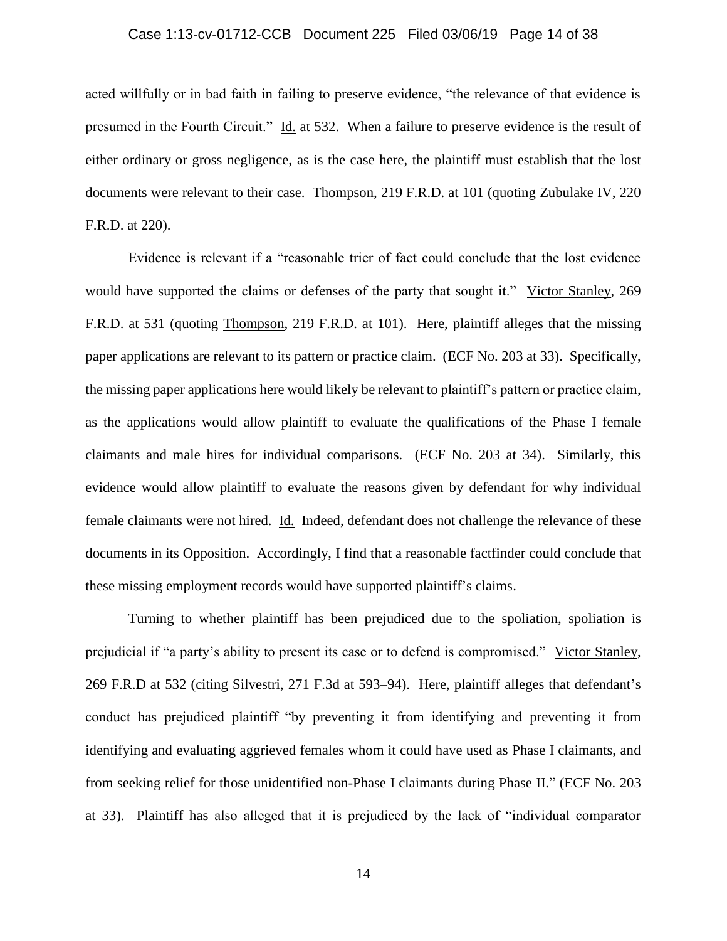## Case 1:13-cv-01712-CCB Document 225 Filed 03/06/19 Page 14 of 38

acted willfully or in bad faith in failing to preserve evidence, "the relevance of that evidence is presumed in the Fourth Circuit." Id. at 532. When a failure to preserve evidence is the result of either ordinary or gross negligence, as is the case here, the plaintiff must establish that the lost documents were relevant to their case. Thompson, 219 F.R.D. at 101 (quoting Zubulake IV, 220 F.R.D. at 220).

Evidence is relevant if a "reasonable trier of fact could conclude that the lost evidence would have supported the claims or defenses of the party that sought it." Victor Stanley, 269 F.R.D. at 531 (quoting Thompson, 219 F.R.D. at 101). Here, plaintiff alleges that the missing paper applications are relevant to its pattern or practice claim. (ECF No. 203 at 33). Specifically, the missing paper applications here would likely be relevant to plaintiff's pattern or practice claim, as the applications would allow plaintiff to evaluate the qualifications of the Phase I female claimants and male hires for individual comparisons. (ECF No. 203 at 34). Similarly, this evidence would allow plaintiff to evaluate the reasons given by defendant for why individual female claimants were not hired. Id. Indeed, defendant does not challenge the relevance of these documents in its Opposition. Accordingly, I find that a reasonable factfinder could conclude that these missing employment records would have supported plaintiff's claims.

Turning to whether plaintiff has been prejudiced due to the spoliation, spoliation is prejudicial if "a party's ability to present its case or to defend is compromised." Victor Stanley, 269 F.R.D at 532 (citing Silvestri, 271 F.3d at 593–94). Here, plaintiff alleges that defendant's conduct has prejudiced plaintiff "by preventing it from identifying and preventing it from identifying and evaluating aggrieved females whom it could have used as Phase I claimants, and from seeking relief for those unidentified non-Phase I claimants during Phase II." (ECF No. 203 at 33). Plaintiff has also alleged that it is prejudiced by the lack of "individual comparator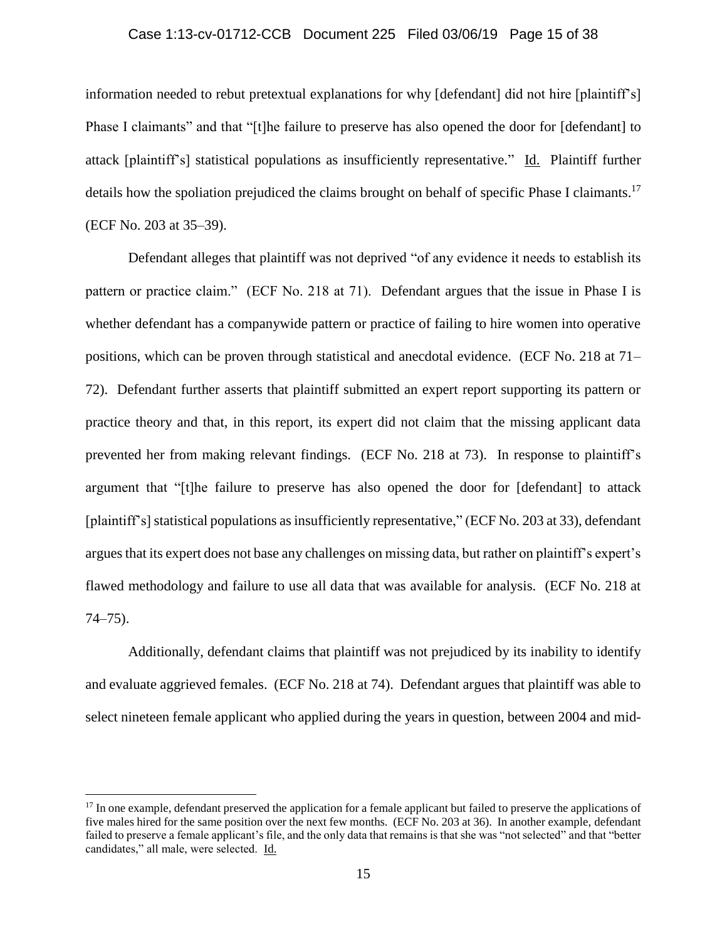### Case 1:13-cv-01712-CCB Document 225 Filed 03/06/19 Page 15 of 38

information needed to rebut pretextual explanations for why [defendant] did not hire [plaintiff's] Phase I claimants" and that "[t]he failure to preserve has also opened the door for [defendant] to attack [plaintiff's] statistical populations as insufficiently representative." Id. Plaintiff further details how the spoliation prejudiced the claims brought on behalf of specific Phase I claimants.<sup>17</sup> (ECF No. 203 at 35–39).

Defendant alleges that plaintiff was not deprived "of any evidence it needs to establish its pattern or practice claim." (ECF No. 218 at 71). Defendant argues that the issue in Phase I is whether defendant has a companywide pattern or practice of failing to hire women into operative positions, which can be proven through statistical and anecdotal evidence. (ECF No. 218 at 71– 72). Defendant further asserts that plaintiff submitted an expert report supporting its pattern or practice theory and that, in this report, its expert did not claim that the missing applicant data prevented her from making relevant findings. (ECF No. 218 at 73). In response to plaintiff's argument that "[t]he failure to preserve has also opened the door for [defendant] to attack [plaintiff's] statistical populations as insufficiently representative," (ECF No. 203 at 33), defendant argues that its expert does not base any challenges on missing data, but rather on plaintiff's expert's flawed methodology and failure to use all data that was available for analysis. (ECF No. 218 at 74–75).

Additionally, defendant claims that plaintiff was not prejudiced by its inability to identify and evaluate aggrieved females. (ECF No. 218 at 74). Defendant argues that plaintiff was able to select nineteen female applicant who applied during the years in question, between 2004 and mid-

 $17$  In one example, defendant preserved the application for a female applicant but failed to preserve the applications of five males hired for the same position over the next few months. (ECF No. 203 at 36). In another example, defendant failed to preserve a female applicant's file, and the only data that remains is that she was "not selected" and that "better candidates," all male, were selected. Id.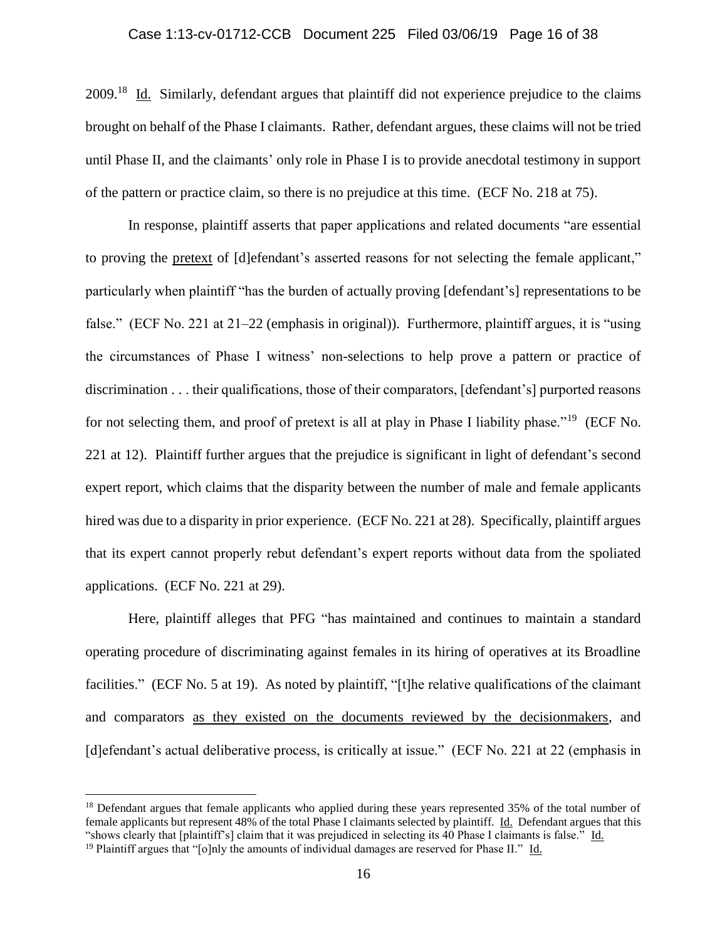## Case 1:13-cv-01712-CCB Document 225 Filed 03/06/19 Page 16 of 38

2009.<sup>18</sup> Id. Similarly, defendant argues that plaintiff did not experience prejudice to the claims brought on behalf of the Phase I claimants. Rather, defendant argues, these claims will not be tried until Phase II, and the claimants' only role in Phase I is to provide anecdotal testimony in support of the pattern or practice claim, so there is no prejudice at this time. (ECF No. 218 at 75).

In response, plaintiff asserts that paper applications and related documents "are essential to proving the pretext of [d]efendant's asserted reasons for not selecting the female applicant," particularly when plaintiff "has the burden of actually proving [defendant's] representations to be false." (ECF No. 221 at 21–22 (emphasis in original)). Furthermore, plaintiff argues, it is "using the circumstances of Phase I witness' non-selections to help prove a pattern or practice of discrimination . . . their qualifications, those of their comparators, [defendant's] purported reasons for not selecting them, and proof of pretext is all at play in Phase I liability phase."<sup>19</sup> (ECF No. 221 at 12). Plaintiff further argues that the prejudice is significant in light of defendant's second expert report, which claims that the disparity between the number of male and female applicants hired was due to a disparity in prior experience. (ECF No. 221 at 28). Specifically, plaintiff argues that its expert cannot properly rebut defendant's expert reports without data from the spoliated applications. (ECF No. 221 at 29).

Here, plaintiff alleges that PFG "has maintained and continues to maintain a standard operating procedure of discriminating against females in its hiring of operatives at its Broadline facilities." (ECF No. 5 at 19). As noted by plaintiff, "[t]he relative qualifications of the claimant and comparators as they existed on the documents reviewed by the decisionmakers, and [d]efendant's actual deliberative process, is critically at issue." (ECF No. 221 at 22 (emphasis in

<sup>&</sup>lt;sup>18</sup> Defendant argues that female applicants who applied during these years represented 35% of the total number of female applicants but represent 48% of the total Phase I claimants selected by plaintiff. Id. Defendant argues that this "shows clearly that [plaintiff's] claim that it was prejudiced in selecting its 40 Phase I claimants is false." Id.

<sup>&</sup>lt;sup>19</sup> Plaintiff argues that "[o]nly the amounts of individual damages are reserved for Phase II." Id.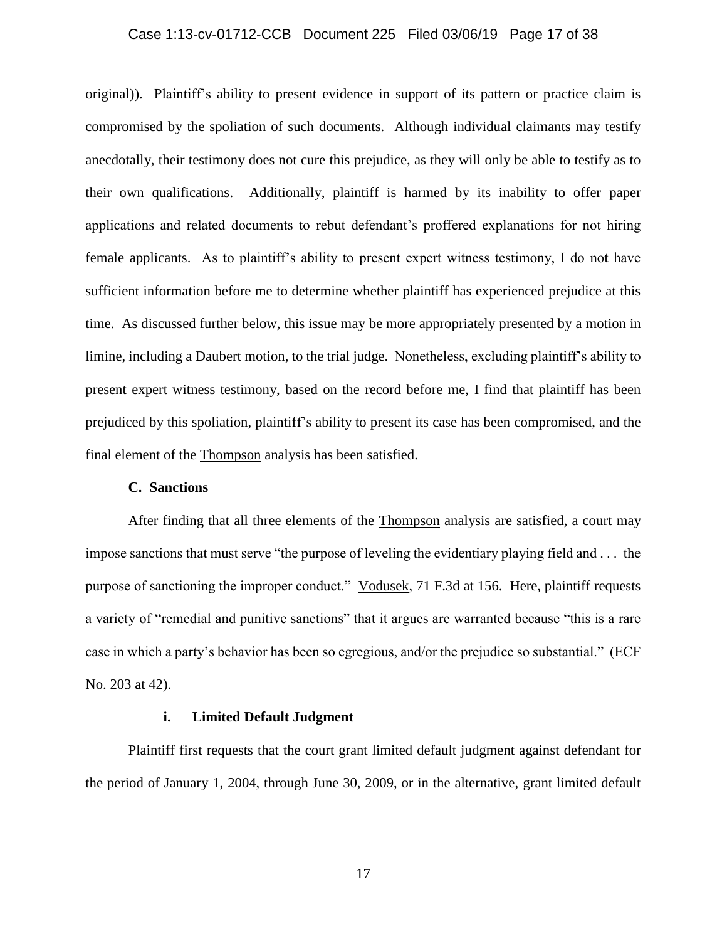### Case 1:13-cv-01712-CCB Document 225 Filed 03/06/19 Page 17 of 38

original)). Plaintiff's ability to present evidence in support of its pattern or practice claim is compromised by the spoliation of such documents. Although individual claimants may testify anecdotally, their testimony does not cure this prejudice, as they will only be able to testify as to their own qualifications. Additionally, plaintiff is harmed by its inability to offer paper applications and related documents to rebut defendant's proffered explanations for not hiring female applicants. As to plaintiff's ability to present expert witness testimony, I do not have sufficient information before me to determine whether plaintiff has experienced prejudice at this time. As discussed further below, this issue may be more appropriately presented by a motion in limine, including a Daubert motion, to the trial judge. Nonetheless, excluding plaintiff's ability to present expert witness testimony, based on the record before me, I find that plaintiff has been prejudiced by this spoliation, plaintiff's ability to present its case has been compromised, and the final element of the Thompson analysis has been satisfied.

### **C. Sanctions**

After finding that all three elements of the Thompson analysis are satisfied, a court may impose sanctions that must serve "the purpose of leveling the evidentiary playing field and . . . the purpose of sanctioning the improper conduct." Vodusek, 71 F.3d at 156. Here, plaintiff requests a variety of "remedial and punitive sanctions" that it argues are warranted because "this is a rare case in which a party's behavior has been so egregious, and/or the prejudice so substantial." (ECF No. 203 at 42).

## **i. Limited Default Judgment**

Plaintiff first requests that the court grant limited default judgment against defendant for the period of January 1, 2004, through June 30, 2009, or in the alternative, grant limited default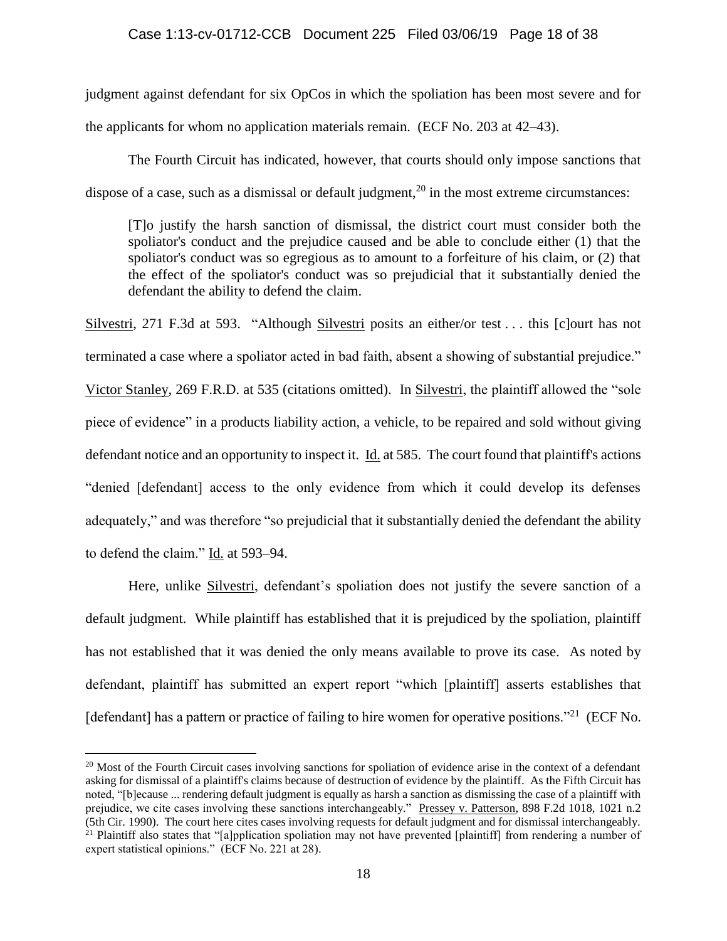judgment against defendant for six OpCos in which the spoliation has been most severe and for the applicants for whom no application materials remain. (ECF No. 203 at 42–43).

The Fourth Circuit has indicated, however, that courts should only impose sanctions that dispose of a case, such as a dismissal or default judgment,<sup>20</sup> in the most extreme circumstances:

[T]o justify the harsh sanction of dismissal, the district court must consider both the spoliator's conduct and the prejudice caused and be able to conclude either (1) that the spoliator's conduct was so egregious as to amount to a forfeiture of his claim, or (2) that the effect of the spoliator's conduct was so prejudicial that it substantially denied the defendant the ability to defend the claim.

Silvestri, 271 F.3d at 593. "Although Silvestri posits an either/or test ... this [c]ourt has not terminated a case where a spoliator acted in bad faith, absent a showing of substantial prejudice." Victor Stanley, 269 F.R.D. at 535 (citations omitted). In Silvestri, the plaintiff allowed the "sole piece of evidence" in a products liability action, a vehicle, to be repaired and sold without giving defendant notice and an opportunity to inspect it. Id. at 585. The court found that plaintiff's actions "denied [defendant] access to the only evidence from which it could develop its defenses adequately," and was therefore "so prejudicial that it substantially denied the defendant the ability to defend the claim." Id. at 593–94.

Here, unlike Silvestri, defendant's spoliation does not justify the severe sanction of a default judgment. While plaintiff has established that it is prejudiced by the spoliation, plaintiff has not established that it was denied the only means available to prove its case. As noted by defendant, plaintiff has submitted an expert report "which [plaintiff] asserts establishes that [defendant] has a pattern or practice of failing to hire women for operative positions."<sup>21</sup> (ECF No.

 $20$  Most of the Fourth Circuit cases involving sanctions for spoliation of evidence arise in the context of a defendant asking for dismissal of a plaintiff's claims because of destruction of evidence by the plaintiff. As the Fifth Circuit has noted, "[b]ecause ... rendering default judgment is equally as harsh a sanction as dismissing the case of a plaintiff with prejudice, we cite cases involving these sanctions interchangeably." Pressey v. Patterson, 898 F.2d 1018, 1021 n.2 (5th Cir. 1990). The court here cites cases involving requests for default judgment and for dismissal interchangeably. <sup>21</sup> Plaintiff also states that "[a]pplication spoliation may not have prevented [plaintiff] from rendering a number of expert statistical opinions." (ECF No. 221 at 28).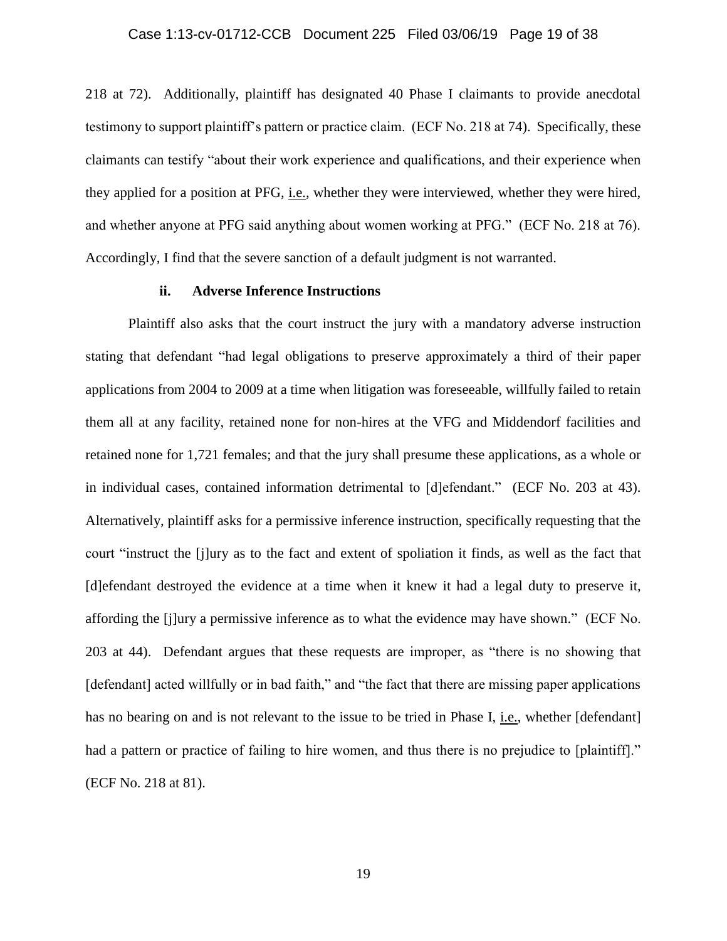218 at 72). Additionally, plaintiff has designated 40 Phase I claimants to provide anecdotal testimony to support plaintiff's pattern or practice claim. (ECF No. 218 at 74). Specifically, these claimants can testify "about their work experience and qualifications, and their experience when they applied for a position at PFG, i.e., whether they were interviewed, whether they were hired, and whether anyone at PFG said anything about women working at PFG." (ECF No. 218 at 76). Accordingly, I find that the severe sanction of a default judgment is not warranted.

### **ii. Adverse Inference Instructions**

Plaintiff also asks that the court instruct the jury with a mandatory adverse instruction stating that defendant "had legal obligations to preserve approximately a third of their paper applications from 2004 to 2009 at a time when litigation was foreseeable, willfully failed to retain them all at any facility, retained none for non-hires at the VFG and Middendorf facilities and retained none for 1,721 females; and that the jury shall presume these applications, as a whole or in individual cases, contained information detrimental to [d]efendant." (ECF No. 203 at 43). Alternatively, plaintiff asks for a permissive inference instruction, specifically requesting that the court "instruct the [j]ury as to the fact and extent of spoliation it finds, as well as the fact that [d]efendant destroyed the evidence at a time when it knew it had a legal duty to preserve it, affording the [j]ury a permissive inference as to what the evidence may have shown." (ECF No. 203 at 44). Defendant argues that these requests are improper, as "there is no showing that [defendant] acted willfully or in bad faith," and "the fact that there are missing paper applications has no bearing on and is not relevant to the issue to be tried in Phase I, i.e., whether [defendant] had a pattern or practice of failing to hire women, and thus there is no prejudice to [plaintiff]." (ECF No. 218 at 81).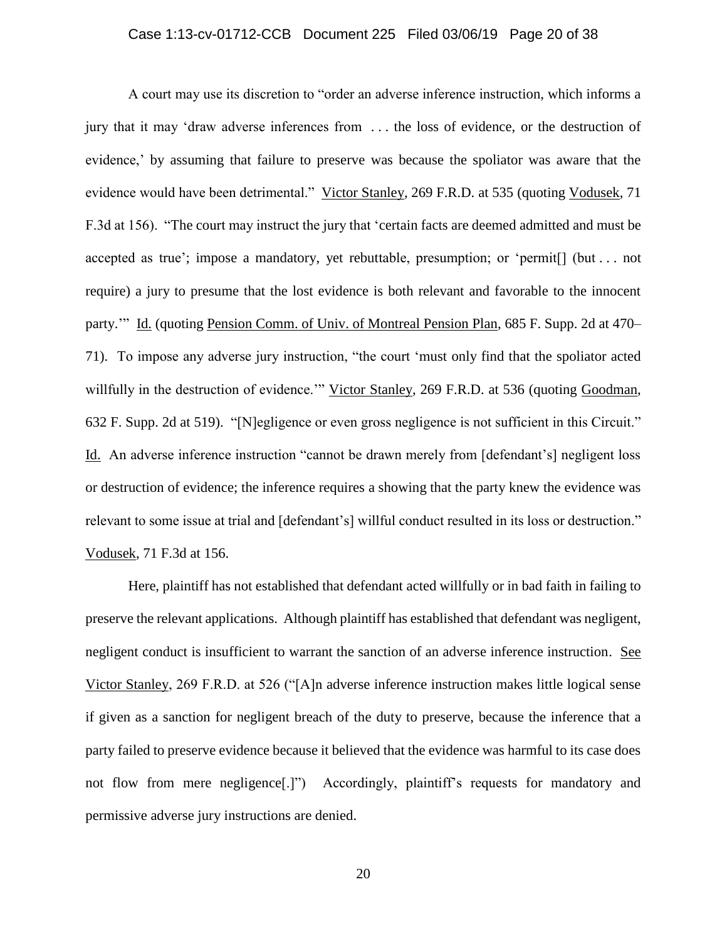A court may use its discretion to "order an adverse inference instruction, which informs a jury that it may 'draw adverse inferences from . . . the loss of evidence, or the destruction of evidence,' by assuming that failure to preserve was because the spoliator was aware that the evidence would have been detrimental." Victor Stanley, 269 F.R.D. at 535 (quoting Vodusek, 71 F.3d at 156). "The court may instruct the jury that 'certain facts are deemed admitted and must be accepted as true'; impose a mandatory, yet rebuttable, presumption; or 'permit[] (but . . . not require) a jury to presume that the lost evidence is both relevant and favorable to the innocent party.'" Id. (quoting Pension Comm. of Univ. of Montreal Pension Plan, 685 F. Supp. 2d at 470– 71). To impose any adverse jury instruction, "the court 'must only find that the spoliator acted willfully in the destruction of evidence.'" Victor Stanley, 269 F.R.D. at 536 (quoting Goodman, 632 F. Supp. 2d at 519). "[N]egligence or even gross negligence is not sufficient in this Circuit." Id. An adverse inference instruction "cannot be drawn merely from [defendant's] negligent loss or destruction of evidence; the inference requires a showing that the party knew the evidence was relevant to some issue at trial and [defendant's] willful conduct resulted in its loss or destruction." Vodusek, 71 F.3d at 156.

Here, plaintiff has not established that defendant acted willfully or in bad faith in failing to preserve the relevant applications. Although plaintiff has established that defendant was negligent, negligent conduct is insufficient to warrant the sanction of an adverse inference instruction. See Victor Stanley, 269 F.R.D. at 526 ("[A]n adverse inference instruction makes little logical sense if given as a sanction for negligent breach of the duty to preserve, because the inference that a party failed to preserve evidence because it believed that the evidence was harmful to its case does not flow from mere negligence[.]") Accordingly, plaintiff's requests for mandatory and permissive adverse jury instructions are denied.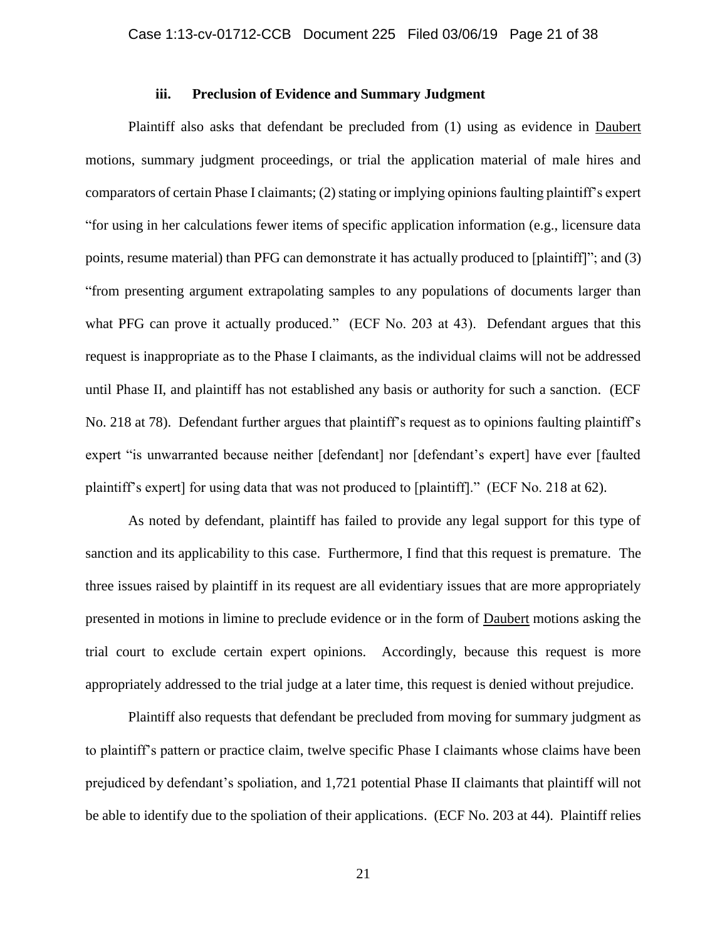### **iii. Preclusion of Evidence and Summary Judgment**

Plaintiff also asks that defendant be precluded from (1) using as evidence in Daubert motions, summary judgment proceedings, or trial the application material of male hires and comparators of certain Phase I claimants; (2) stating or implying opinions faulting plaintiff's expert "for using in her calculations fewer items of specific application information (e.g., licensure data points, resume material) than PFG can demonstrate it has actually produced to [plaintiff]"; and (3) "from presenting argument extrapolating samples to any populations of documents larger than what PFG can prove it actually produced." (ECF No. 203 at 43). Defendant argues that this request is inappropriate as to the Phase I claimants, as the individual claims will not be addressed until Phase II, and plaintiff has not established any basis or authority for such a sanction. (ECF No. 218 at 78). Defendant further argues that plaintiff's request as to opinions faulting plaintiff's expert "is unwarranted because neither [defendant] nor [defendant's expert] have ever [faulted plaintiff's expert] for using data that was not produced to [plaintiff]." (ECF No. 218 at 62).

As noted by defendant, plaintiff has failed to provide any legal support for this type of sanction and its applicability to this case. Furthermore, I find that this request is premature. The three issues raised by plaintiff in its request are all evidentiary issues that are more appropriately presented in motions in limine to preclude evidence or in the form of Daubert motions asking the trial court to exclude certain expert opinions. Accordingly, because this request is more appropriately addressed to the trial judge at a later time, this request is denied without prejudice.

Plaintiff also requests that defendant be precluded from moving for summary judgment as to plaintiff's pattern or practice claim, twelve specific Phase I claimants whose claims have been prejudiced by defendant's spoliation, and 1,721 potential Phase II claimants that plaintiff will not be able to identify due to the spoliation of their applications. (ECF No. 203 at 44). Plaintiff relies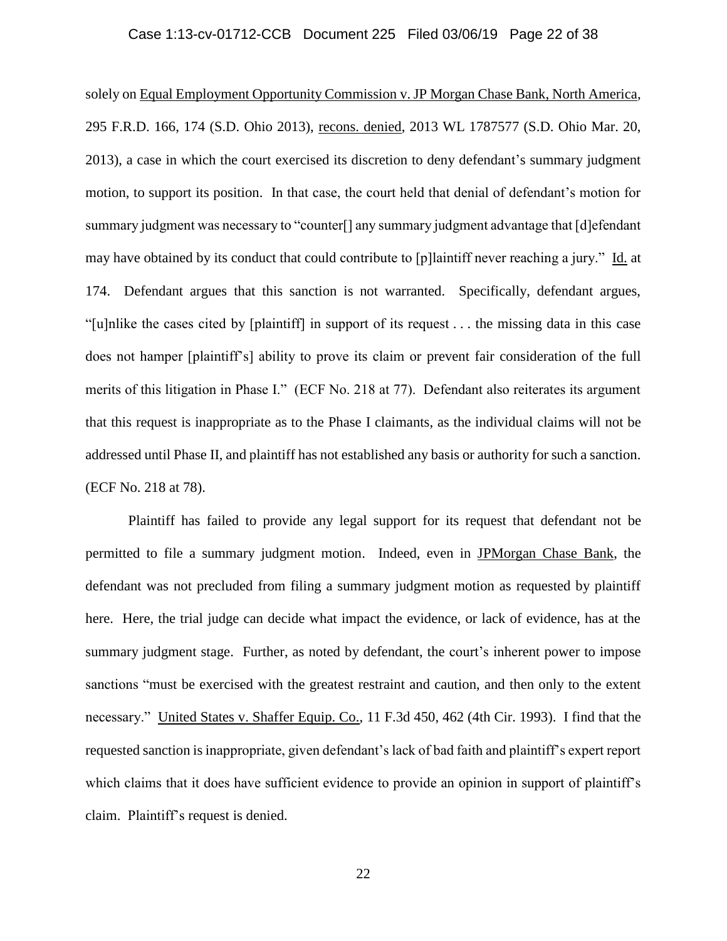### Case 1:13-cv-01712-CCB Document 225 Filed 03/06/19 Page 22 of 38

solely on Equal Employment Opportunity Commission v. JP Morgan Chase Bank, North America, 295 F.R.D. 166, 174 (S.D. Ohio 2013), recons. denied, 2013 WL 1787577 (S.D. Ohio Mar. 20, 2013), a case in which the court exercised its discretion to deny defendant's summary judgment motion, to support its position. In that case, the court held that denial of defendant's motion for summary judgment was necessary to "counter<sup>[]</sup> any summary judgment advantage that [d]efendant may have obtained by its conduct that could contribute to [p]laintiff never reaching a jury." Id. at 174. Defendant argues that this sanction is not warranted. Specifically, defendant argues, "[u]nlike the cases cited by [plaintiff] in support of its request . . . the missing data in this case does not hamper [plaintiff's] ability to prove its claim or prevent fair consideration of the full merits of this litigation in Phase I." (ECF No. 218 at 77). Defendant also reiterates its argument that this request is inappropriate as to the Phase I claimants, as the individual claims will not be addressed until Phase II, and plaintiff has not established any basis or authority for such a sanction. (ECF No. 218 at 78).

Plaintiff has failed to provide any legal support for its request that defendant not be permitted to file a summary judgment motion. Indeed, even in JPMorgan Chase Bank, the defendant was not precluded from filing a summary judgment motion as requested by plaintiff here. Here, the trial judge can decide what impact the evidence, or lack of evidence, has at the summary judgment stage. Further, as noted by defendant, the court's inherent power to impose sanctions "must be exercised with the greatest restraint and caution, and then only to the extent necessary." United States v. Shaffer Equip. Co., 11 F.3d 450, 462 (4th Cir. 1993). I find that the requested sanction is inappropriate, given defendant's lack of bad faith and plaintiff's expert report which claims that it does have sufficient evidence to provide an opinion in support of plaintiff's claim. Plaintiff's request is denied.

22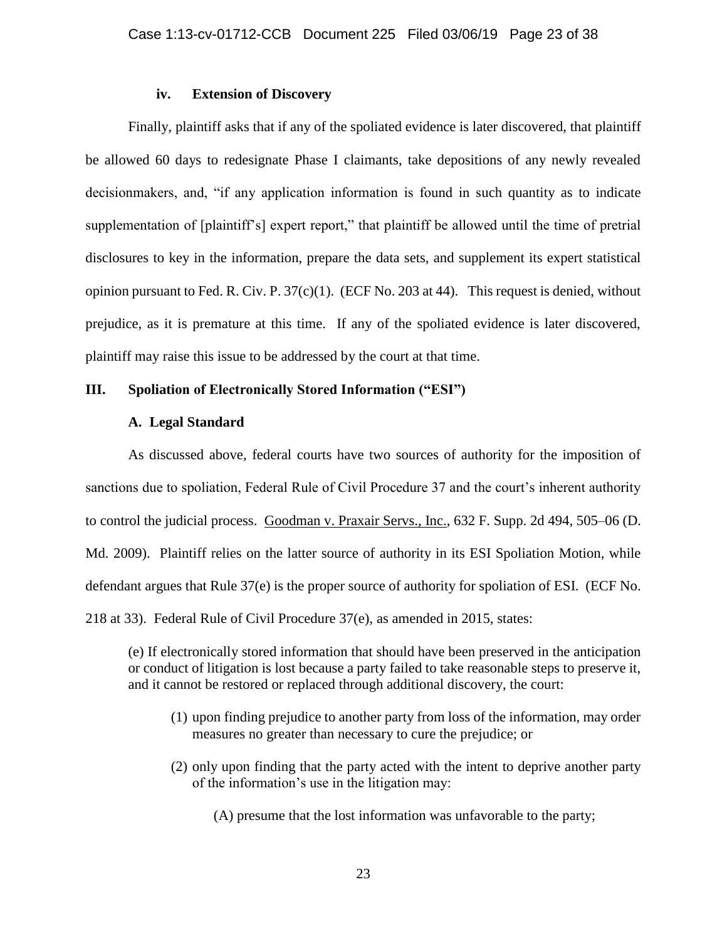### **iv. Extension of Discovery**

Finally, plaintiff asks that if any of the spoliated evidence is later discovered, that plaintiff be allowed 60 days to redesignate Phase I claimants, take depositions of any newly revealed decisionmakers, and, "if any application information is found in such quantity as to indicate supplementation of [plaintiff's] expert report," that plaintiff be allowed until the time of pretrial disclosures to key in the information, prepare the data sets, and supplement its expert statistical opinion pursuant to Fed. R. Civ. P.  $37(c)(1)$ . (ECF No. 203 at 44). This request is denied, without prejudice, as it is premature at this time. If any of the spoliated evidence is later discovered, plaintiff may raise this issue to be addressed by the court at that time.

## **III. Spoliation of Electronically Stored Information ("ESI")**

### **A. Legal Standard**

As discussed above, federal courts have two sources of authority for the imposition of sanctions due to spoliation, Federal Rule of Civil Procedure 37 and the court's inherent authority to control the judicial process. Goodman v. Praxair Servs., Inc., 632 F. Supp. 2d 494, 505–06 (D. Md. 2009). Plaintiff relies on the latter source of authority in its ESI Spoliation Motion, while defendant argues that Rule 37(e) is the proper source of authority for spoliation of ESI. (ECF No. 218 at 33). Federal Rule of Civil Procedure 37(e), as amended in 2015, states:

(e) If electronically stored information that should have been preserved in the anticipation or conduct of litigation is lost because a party failed to take reasonable steps to preserve it, and it cannot be restored or replaced through additional discovery, the court:

- (1) upon finding prejudice to another party from loss of the information, may order measures no greater than necessary to cure the prejudice; or
- (2) only upon finding that the party acted with the intent to deprive another party of the information's use in the litigation may:

(A) presume that the lost information was unfavorable to the party;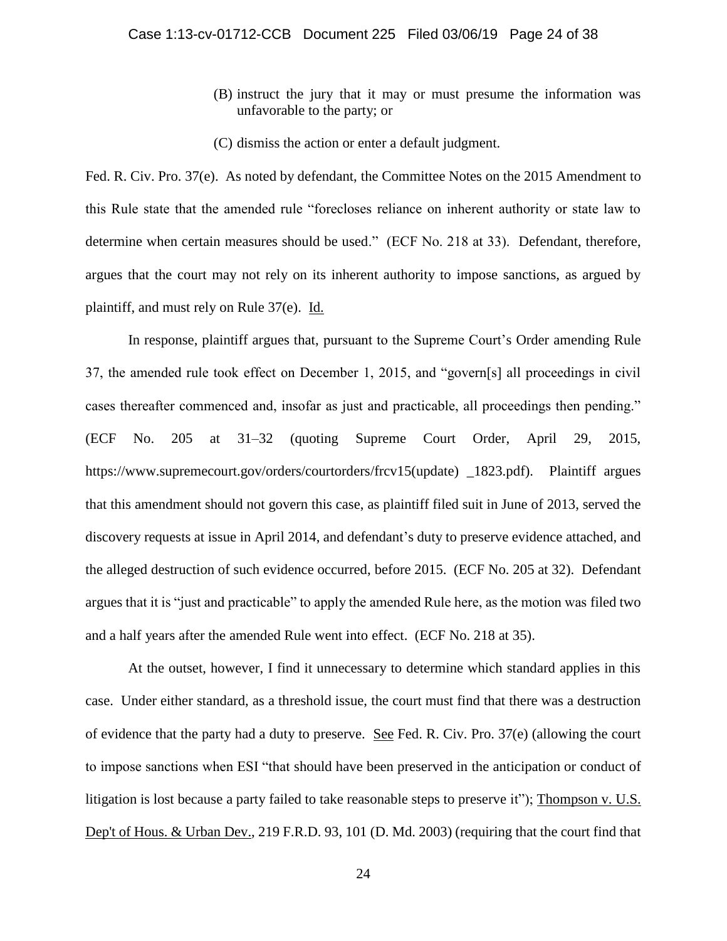- (B) instruct the jury that it may or must presume the information was unfavorable to the party; or
- (C) dismiss the action or enter a default judgment.

Fed. R. Civ. Pro. 37(e). As noted by defendant, the Committee Notes on the 2015 Amendment to this Rule state that the amended rule "forecloses reliance on inherent authority or state law to determine when certain measures should be used." (ECF No. 218 at 33). Defendant, therefore, argues that the court may not rely on its inherent authority to impose sanctions, as argued by plaintiff, and must rely on Rule 37(e). Id.

In response, plaintiff argues that, pursuant to the Supreme Court's Order amending Rule 37, the amended rule took effect on December 1, 2015, and "govern[s] all proceedings in civil cases thereafter commenced and, insofar as just and practicable, all proceedings then pending." (ECF No. 205 at 31–32 (quoting Supreme Court Order, April 29, 2015, https://www.supremecourt.gov/orders/courtorders/frcv15(update) \_1823.pdf). Plaintiff argues that this amendment should not govern this case, as plaintiff filed suit in June of 2013, served the discovery requests at issue in April 2014, and defendant's duty to preserve evidence attached, and the alleged destruction of such evidence occurred, before 2015. (ECF No. 205 at 32). Defendant argues that it is "just and practicable" to apply the amended Rule here, as the motion was filed two and a half years after the amended Rule went into effect. (ECF No. 218 at 35).

At the outset, however, I find it unnecessary to determine which standard applies in this case. Under either standard, as a threshold issue, the court must find that there was a destruction of evidence that the party had a duty to preserve. See Fed. R. Civ. Pro. 37(e) (allowing the court to impose sanctions when ESI "that should have been preserved in the anticipation or conduct of litigation is lost because a party failed to take reasonable steps to preserve it"); Thompson v. U.S. Dep't of Hous. & Urban Dev., 219 F.R.D. 93, 101 (D. Md. 2003) (requiring that the court find that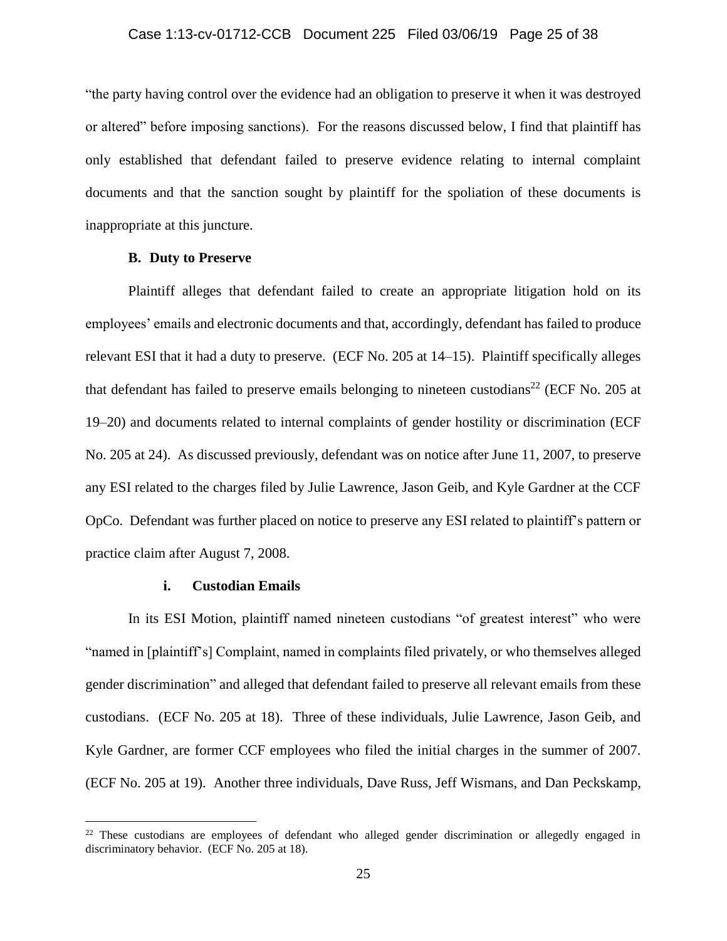"the party having control over the evidence had an obligation to preserve it when it was destroyed or altered" before imposing sanctions). For the reasons discussed below, I find that plaintiff has only established that defendant failed to preserve evidence relating to internal complaint documents and that the sanction sought by plaintiff for the spoliation of these documents is inappropriate at this juncture.

### **B. Duty to Preserve**

Plaintiff alleges that defendant failed to create an appropriate litigation hold on its employees' emails and electronic documents and that, accordingly, defendant has failed to produce relevant ESI that it had a duty to preserve. (ECF No. 205 at 14–15). Plaintiff specifically alleges that defendant has failed to preserve emails belonging to nineteen custodians<sup>22</sup> (ECF No. 205 at 19–20) and documents related to internal complaints of gender hostility or discrimination (ECF No. 205 at 24). As discussed previously, defendant was on notice after June 11, 2007, to preserve any ESI related to the charges filed by Julie Lawrence, Jason Geib, and Kyle Gardner at the CCF OpCo. Defendant was further placed on notice to preserve any ESI related to plaintiff's pattern or practice claim after August 7, 2008.

### **i. Custodian Emails**

 $\overline{a}$ 

In its ESI Motion, plaintiff named nineteen custodians "of greatest interest" who were "named in [plaintiff's] Complaint, named in complaints filed privately, or who themselves alleged gender discrimination" and alleged that defendant failed to preserve all relevant emails from these custodians. (ECF No. 205 at 18). Three of these individuals, Julie Lawrence, Jason Geib, and Kyle Gardner, are former CCF employees who filed the initial charges in the summer of 2007. (ECF No. 205 at 19). Another three individuals, Dave Russ, Jeff Wismans, and Dan Peckskamp,

<sup>&</sup>lt;sup>22</sup> These custodians are employees of defendant who alleged gender discrimination or allegedly engaged in discriminatory behavior. (ECF No. 205 at 18).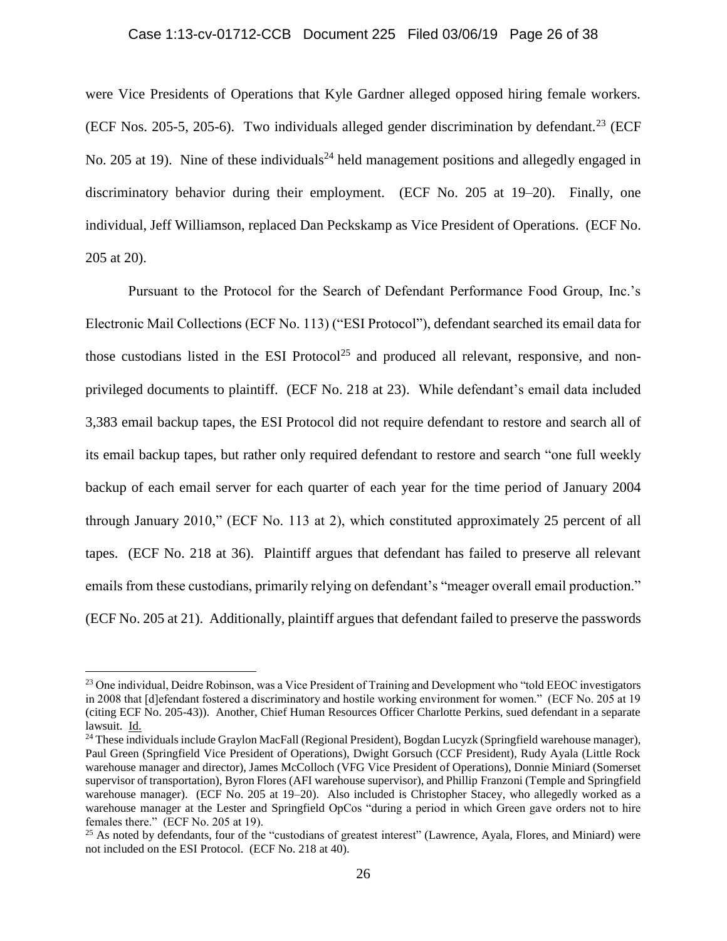## Case 1:13-cv-01712-CCB Document 225 Filed 03/06/19 Page 26 of 38

were Vice Presidents of Operations that Kyle Gardner alleged opposed hiring female workers. (ECF Nos. 205-5, 205-6). Two individuals alleged gender discrimination by defendant.<sup>23</sup> (ECF No. 205 at 19). Nine of these individuals<sup>24</sup> held management positions and allegedly engaged in discriminatory behavior during their employment. (ECF No. 205 at 19–20). Finally, one individual, Jeff Williamson, replaced Dan Peckskamp as Vice President of Operations. (ECF No. 205 at 20).

Pursuant to the Protocol for the Search of Defendant Performance Food Group, Inc.'s Electronic Mail Collections (ECF No. 113) ("ESI Protocol"), defendant searched its email data for those custodians listed in the ESI Protocol<sup>25</sup> and produced all relevant, responsive, and nonprivileged documents to plaintiff. (ECF No. 218 at 23). While defendant's email data included 3,383 email backup tapes, the ESI Protocol did not require defendant to restore and search all of its email backup tapes, but rather only required defendant to restore and search "one full weekly backup of each email server for each quarter of each year for the time period of January 2004 through January 2010," (ECF No. 113 at 2), which constituted approximately 25 percent of all tapes. (ECF No. 218 at 36). Plaintiff argues that defendant has failed to preserve all relevant emails from these custodians, primarily relying on defendant's "meager overall email production." (ECF No. 205 at 21). Additionally, plaintiff argues that defendant failed to preserve the passwords

<sup>&</sup>lt;sup>23</sup> One individual, Deidre Robinson, was a Vice President of Training and Development who "told EEOC investigators" in 2008 that [d]efendant fostered a discriminatory and hostile working environment for women." (ECF No. 205 at 19 (citing ECF No. 205-43)). Another, Chief Human Resources Officer Charlotte Perkins, sued defendant in a separate lawsuit. Id.

<sup>&</sup>lt;sup>24</sup> These individuals include Graylon MacFall (Regional President), Bogdan Lucyzk (Springfield warehouse manager), Paul Green (Springfield Vice President of Operations), Dwight Gorsuch (CCF President), Rudy Ayala (Little Rock warehouse manager and director), James McColloch (VFG Vice President of Operations), Donnie Miniard (Somerset supervisor of transportation), Byron Flores (AFI warehouse supervisor), and Phillip Franzoni (Temple and Springfield warehouse manager). (ECF No. 205 at 19–20). Also included is Christopher Stacey, who allegedly worked as a warehouse manager at the Lester and Springfield OpCos "during a period in which Green gave orders not to hire females there." (ECF No. 205 at 19).

<sup>&</sup>lt;sup>25</sup> As noted by defendants, four of the "custodians of greatest interest" (Lawrence, Ayala, Flores, and Miniard) were not included on the ESI Protocol. (ECF No. 218 at 40).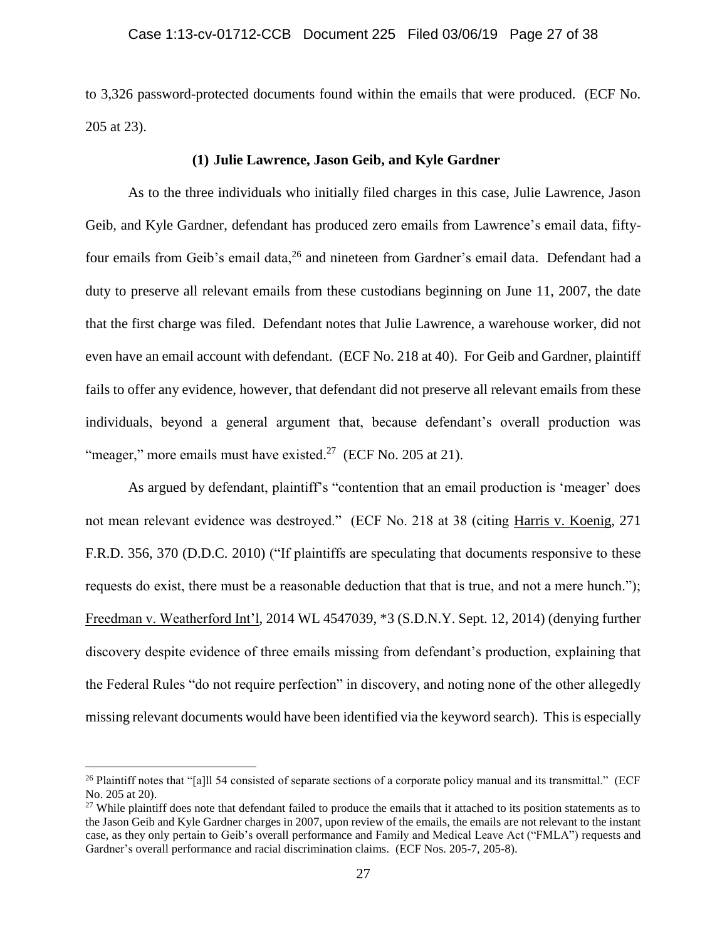to 3,326 password-protected documents found within the emails that were produced. (ECF No. 205 at 23).

### **(1) Julie Lawrence, Jason Geib, and Kyle Gardner**

As to the three individuals who initially filed charges in this case, Julie Lawrence, Jason Geib, and Kyle Gardner, defendant has produced zero emails from Lawrence's email data, fiftyfour emails from Geib's email data, <sup>26</sup> and nineteen from Gardner's email data. Defendant had a duty to preserve all relevant emails from these custodians beginning on June 11, 2007, the date that the first charge was filed. Defendant notes that Julie Lawrence, a warehouse worker, did not even have an email account with defendant. (ECF No. 218 at 40). For Geib and Gardner, plaintiff fails to offer any evidence, however, that defendant did not preserve all relevant emails from these individuals, beyond a general argument that, because defendant's overall production was "meager," more emails must have existed.<sup>27</sup> (ECF No. 205 at 21).

As argued by defendant, plaintiff's "contention that an email production is 'meager' does not mean relevant evidence was destroyed." (ECF No. 218 at 38 (citing Harris v. Koenig, 271 F.R.D. 356, 370 (D.D.C. 2010) ("If plaintiffs are speculating that documents responsive to these requests do exist, there must be a reasonable deduction that that is true, and not a mere hunch."); Freedman v. Weatherford Int'l, 2014 WL 4547039, \*3 (S.D.N.Y. Sept. 12, 2014) (denying further discovery despite evidence of three emails missing from defendant's production, explaining that the Federal Rules "do not require perfection" in discovery, and noting none of the other allegedly missing relevant documents would have been identified via the keyword search). This is especially

<sup>&</sup>lt;sup>26</sup> Plaintiff notes that "[a]ll 54 consisted of separate sections of a corporate policy manual and its transmittal." (ECF No. 205 at 20).

 $27$  While plaintiff does note that defendant failed to produce the emails that it attached to its position statements as to the Jason Geib and Kyle Gardner charges in 2007, upon review of the emails, the emails are not relevant to the instant case, as they only pertain to Geib's overall performance and Family and Medical Leave Act ("FMLA") requests and Gardner's overall performance and racial discrimination claims. (ECF Nos. 205-7, 205-8).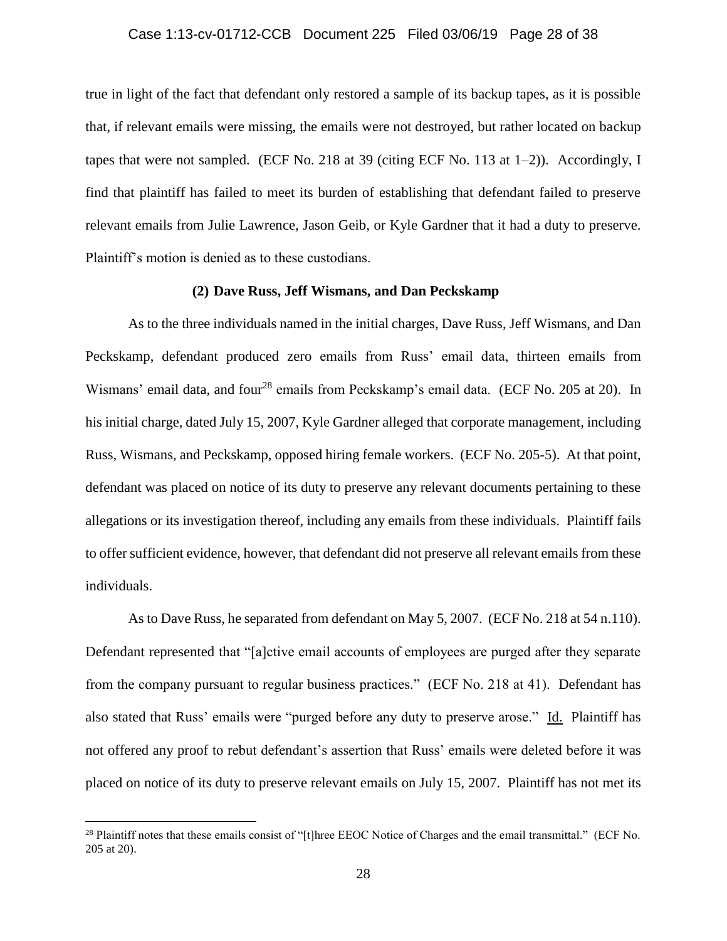### Case 1:13-cv-01712-CCB Document 225 Filed 03/06/19 Page 28 of 38

true in light of the fact that defendant only restored a sample of its backup tapes, as it is possible that, if relevant emails were missing, the emails were not destroyed, but rather located on backup tapes that were not sampled. (ECF No. 218 at 39 (citing ECF No. 113 at 1–2)). Accordingly, I find that plaintiff has failed to meet its burden of establishing that defendant failed to preserve relevant emails from Julie Lawrence, Jason Geib, or Kyle Gardner that it had a duty to preserve. Plaintiff's motion is denied as to these custodians.

### **(2) Dave Russ, Jeff Wismans, and Dan Peckskamp**

As to the three individuals named in the initial charges, Dave Russ, Jeff Wismans, and Dan Peckskamp, defendant produced zero emails from Russ' email data, thirteen emails from Wismans' email data, and four<sup>28</sup> emails from Peckskamp's email data. (ECF No. 205 at 20). In his initial charge, dated July 15, 2007, Kyle Gardner alleged that corporate management, including Russ, Wismans, and Peckskamp, opposed hiring female workers. (ECF No. 205-5). At that point, defendant was placed on notice of its duty to preserve any relevant documents pertaining to these allegations or its investigation thereof, including any emails from these individuals. Plaintiff fails to offer sufficient evidence, however, that defendant did not preserve all relevant emails from these individuals.

As to Dave Russ, he separated from defendant on May 5, 2007. (ECF No. 218 at 54 n.110). Defendant represented that "[a]ctive email accounts of employees are purged after they separate from the company pursuant to regular business practices." (ECF No. 218 at 41). Defendant has also stated that Russ' emails were "purged before any duty to preserve arose." Id. Plaintiff has not offered any proof to rebut defendant's assertion that Russ' emails were deleted before it was placed on notice of its duty to preserve relevant emails on July 15, 2007. Plaintiff has not met its

<sup>&</sup>lt;sup>28</sup> Plaintiff notes that these emails consist of "[t]hree EEOC Notice of Charges and the email transmittal." (ECF No. 205 at 20).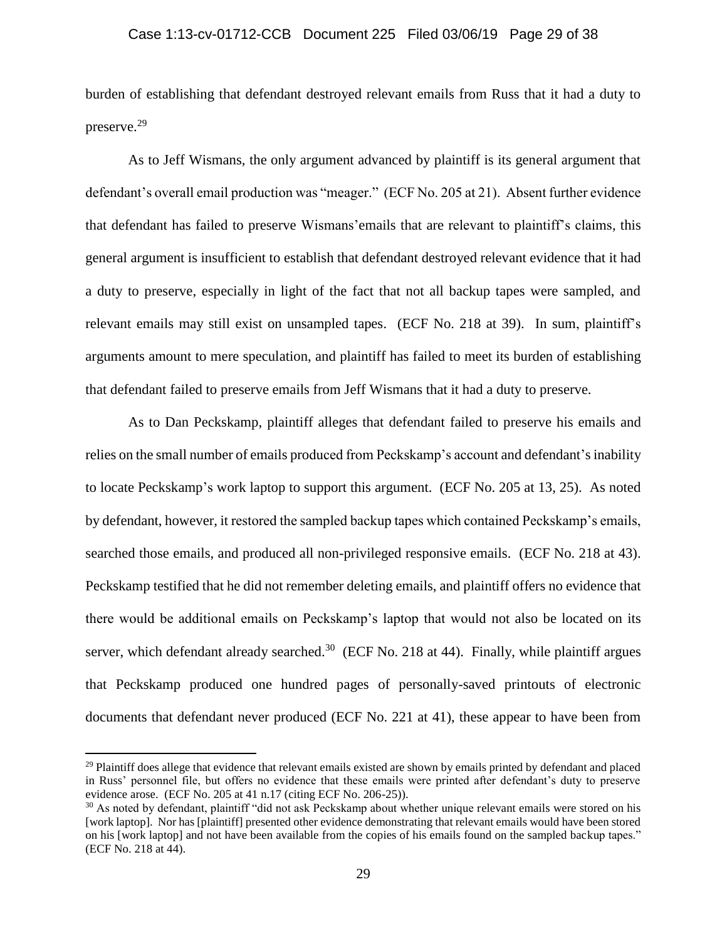burden of establishing that defendant destroyed relevant emails from Russ that it had a duty to preserve.<sup>29</sup>

As to Jeff Wismans, the only argument advanced by plaintiff is its general argument that defendant's overall email production was "meager." (ECF No. 205 at 21). Absent further evidence that defendant has failed to preserve Wismans'emails that are relevant to plaintiff's claims, this general argument is insufficient to establish that defendant destroyed relevant evidence that it had a duty to preserve, especially in light of the fact that not all backup tapes were sampled, and relevant emails may still exist on unsampled tapes. (ECF No. 218 at 39). In sum, plaintiff's arguments amount to mere speculation, and plaintiff has failed to meet its burden of establishing that defendant failed to preserve emails from Jeff Wismans that it had a duty to preserve.

As to Dan Peckskamp, plaintiff alleges that defendant failed to preserve his emails and relies on the small number of emails produced from Peckskamp's account and defendant's inability to locate Peckskamp's work laptop to support this argument. (ECF No. 205 at 13, 25). As noted by defendant, however, it restored the sampled backup tapes which contained Peckskamp's emails, searched those emails, and produced all non-privileged responsive emails. (ECF No. 218 at 43). Peckskamp testified that he did not remember deleting emails, and plaintiff offers no evidence that there would be additional emails on Peckskamp's laptop that would not also be located on its server, which defendant already searched.<sup>30</sup> (ECF No. 218 at 44). Finally, while plaintiff argues that Peckskamp produced one hundred pages of personally-saved printouts of electronic documents that defendant never produced (ECF No. 221 at 41), these appear to have been from

 $29$  Plaintiff does allege that evidence that relevant emails existed are shown by emails printed by defendant and placed in Russ' personnel file, but offers no evidence that these emails were printed after defendant's duty to preserve evidence arose. (ECF No. 205 at 41 n.17 (citing ECF No. 206-25)).

<sup>&</sup>lt;sup>30</sup> As noted by defendant, plaintiff "did not ask Peckskamp about whether unique relevant emails were stored on his [work laptop]. Nor has [plaintiff] presented other evidence demonstrating that relevant emails would have been stored on his [work laptop] and not have been available from the copies of his emails found on the sampled backup tapes." (ECF No. 218 at 44).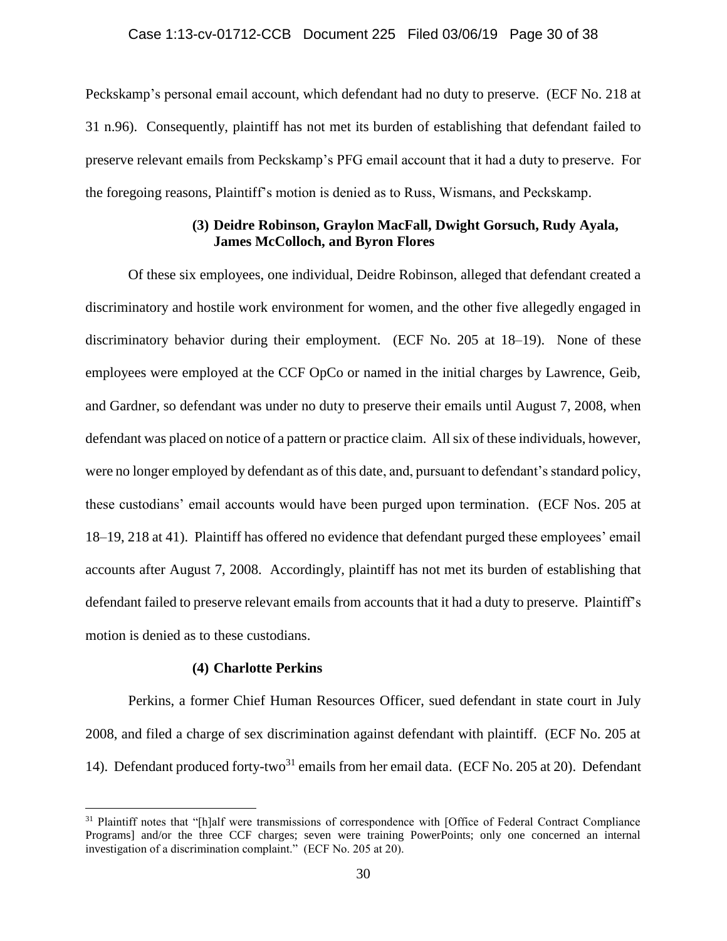Peckskamp's personal email account, which defendant had no duty to preserve. (ECF No. 218 at 31 n.96). Consequently, plaintiff has not met its burden of establishing that defendant failed to preserve relevant emails from Peckskamp's PFG email account that it had a duty to preserve. For the foregoing reasons, Plaintiff's motion is denied as to Russ, Wismans, and Peckskamp.

# **(3) Deidre Robinson, Graylon MacFall, Dwight Gorsuch, Rudy Ayala, James McColloch, and Byron Flores**

Of these six employees, one individual, Deidre Robinson, alleged that defendant created a discriminatory and hostile work environment for women, and the other five allegedly engaged in discriminatory behavior during their employment. (ECF No. 205 at 18–19). None of these employees were employed at the CCF OpCo or named in the initial charges by Lawrence, Geib, and Gardner, so defendant was under no duty to preserve their emails until August 7, 2008, when defendant was placed on notice of a pattern or practice claim. All six of these individuals, however, were no longer employed by defendant as of this date, and, pursuant to defendant's standard policy, these custodians' email accounts would have been purged upon termination. (ECF Nos. 205 at 18–19, 218 at 41). Plaintiff has offered no evidence that defendant purged these employees' email accounts after August 7, 2008. Accordingly, plaintiff has not met its burden of establishing that defendant failed to preserve relevant emails from accounts that it had a duty to preserve. Plaintiff's motion is denied as to these custodians.

### **(4) Charlotte Perkins**

 $\overline{a}$ 

Perkins, a former Chief Human Resources Officer, sued defendant in state court in July 2008, and filed a charge of sex discrimination against defendant with plaintiff. (ECF No. 205 at 14). Defendant produced forty-two<sup>31</sup> emails from her email data. (ECF No. 205 at 20). Defendant

<sup>&</sup>lt;sup>31</sup> Plaintiff notes that "[h]alf were transmissions of correspondence with [Office of Federal Contract Compliance Programs] and/or the three CCF charges; seven were training PowerPoints; only one concerned an internal investigation of a discrimination complaint." (ECF No. 205 at 20).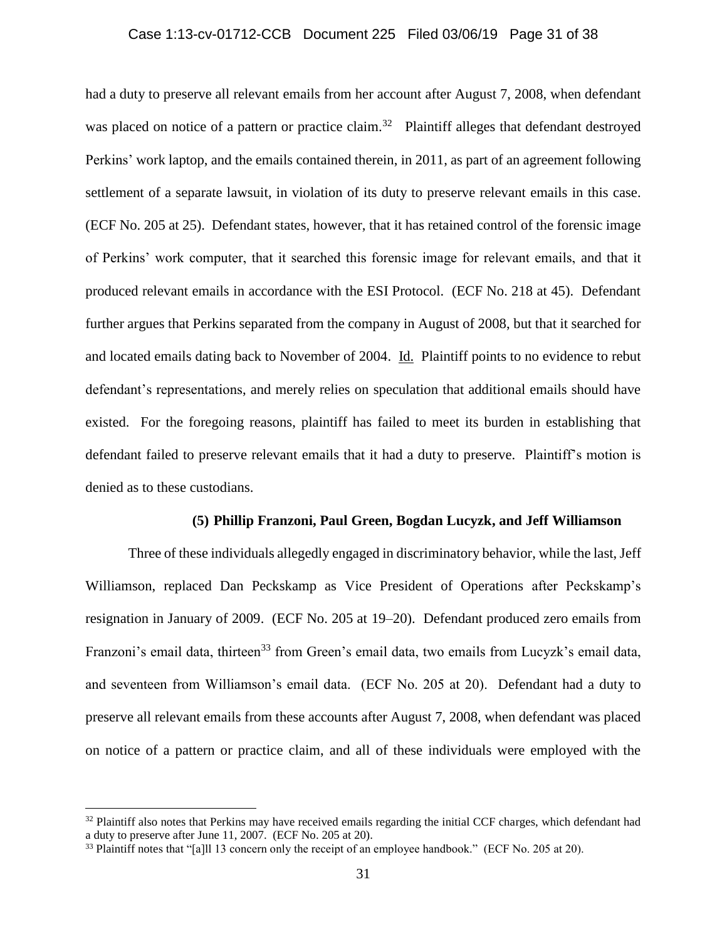### Case 1:13-cv-01712-CCB Document 225 Filed 03/06/19 Page 31 of 38

had a duty to preserve all relevant emails from her account after August 7, 2008, when defendant was placed on notice of a pattern or practice claim.<sup>32</sup> Plaintiff alleges that defendant destroyed Perkins' work laptop, and the emails contained therein, in 2011, as part of an agreement following settlement of a separate lawsuit, in violation of its duty to preserve relevant emails in this case. (ECF No. 205 at 25). Defendant states, however, that it has retained control of the forensic image of Perkins' work computer, that it searched this forensic image for relevant emails, and that it produced relevant emails in accordance with the ESI Protocol. (ECF No. 218 at 45). Defendant further argues that Perkins separated from the company in August of 2008, but that it searched for and located emails dating back to November of 2004. Id. Plaintiff points to no evidence to rebut defendant's representations, and merely relies on speculation that additional emails should have existed. For the foregoing reasons, plaintiff has failed to meet its burden in establishing that defendant failed to preserve relevant emails that it had a duty to preserve. Plaintiff's motion is denied as to these custodians.

### **(5) Phillip Franzoni, Paul Green, Bogdan Lucyzk, and Jeff Williamson**

Three of these individuals allegedly engaged in discriminatory behavior, while the last, Jeff Williamson, replaced Dan Peckskamp as Vice President of Operations after Peckskamp's resignation in January of 2009. (ECF No. 205 at 19–20). Defendant produced zero emails from Franzoni's email data, thirteen<sup>33</sup> from Green's email data, two emails from Lucyzk's email data, and seventeen from Williamson's email data. (ECF No. 205 at 20). Defendant had a duty to preserve all relevant emails from these accounts after August 7, 2008, when defendant was placed on notice of a pattern or practice claim, and all of these individuals were employed with the

 $32$  Plaintiff also notes that Perkins may have received emails regarding the initial CCF charges, which defendant had a duty to preserve after June 11, 2007. (ECF No. 205 at 20).

<sup>&</sup>lt;sup>33</sup> Plaintiff notes that "[a]ll 13 concern only the receipt of an employee handbook." (ECF No. 205 at 20).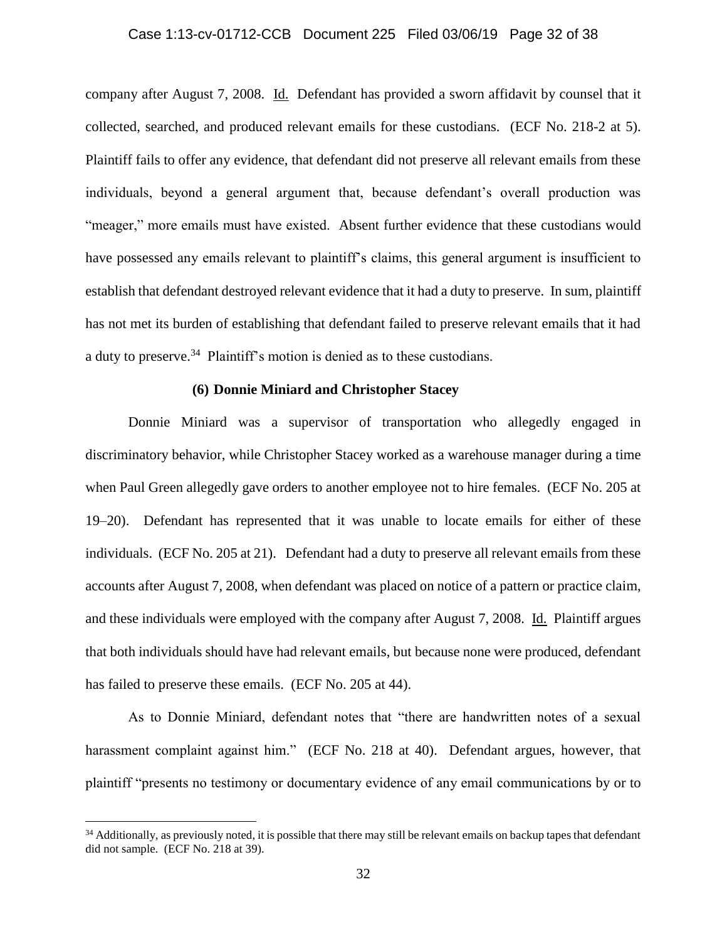### Case 1:13-cv-01712-CCB Document 225 Filed 03/06/19 Page 32 of 38

company after August 7, 2008. Id. Defendant has provided a sworn affidavit by counsel that it collected, searched, and produced relevant emails for these custodians. (ECF No. 218-2 at 5). Plaintiff fails to offer any evidence, that defendant did not preserve all relevant emails from these individuals, beyond a general argument that, because defendant's overall production was "meager," more emails must have existed. Absent further evidence that these custodians would have possessed any emails relevant to plaintiff's claims, this general argument is insufficient to establish that defendant destroyed relevant evidence that it had a duty to preserve. In sum, plaintiff has not met its burden of establishing that defendant failed to preserve relevant emails that it had a duty to preserve.<sup>34</sup> Plaintiff's motion is denied as to these custodians.

### **(6) Donnie Miniard and Christopher Stacey**

Donnie Miniard was a supervisor of transportation who allegedly engaged in discriminatory behavior, while Christopher Stacey worked as a warehouse manager during a time when Paul Green allegedly gave orders to another employee not to hire females. (ECF No. 205 at 19–20). Defendant has represented that it was unable to locate emails for either of these individuals. (ECF No. 205 at 21). Defendant had a duty to preserve all relevant emails from these accounts after August 7, 2008, when defendant was placed on notice of a pattern or practice claim, and these individuals were employed with the company after August 7, 2008. Id. Plaintiff argues that both individuals should have had relevant emails, but because none were produced, defendant has failed to preserve these emails. (ECF No. 205 at 44).

As to Donnie Miniard, defendant notes that "there are handwritten notes of a sexual harassment complaint against him." (ECF No. 218 at 40). Defendant argues, however, that plaintiff "presents no testimony or documentary evidence of any email communications by or to

<sup>&</sup>lt;sup>34</sup> Additionally, as previously noted, it is possible that there may still be relevant emails on backup tapes that defendant did not sample. (ECF No. 218 at 39).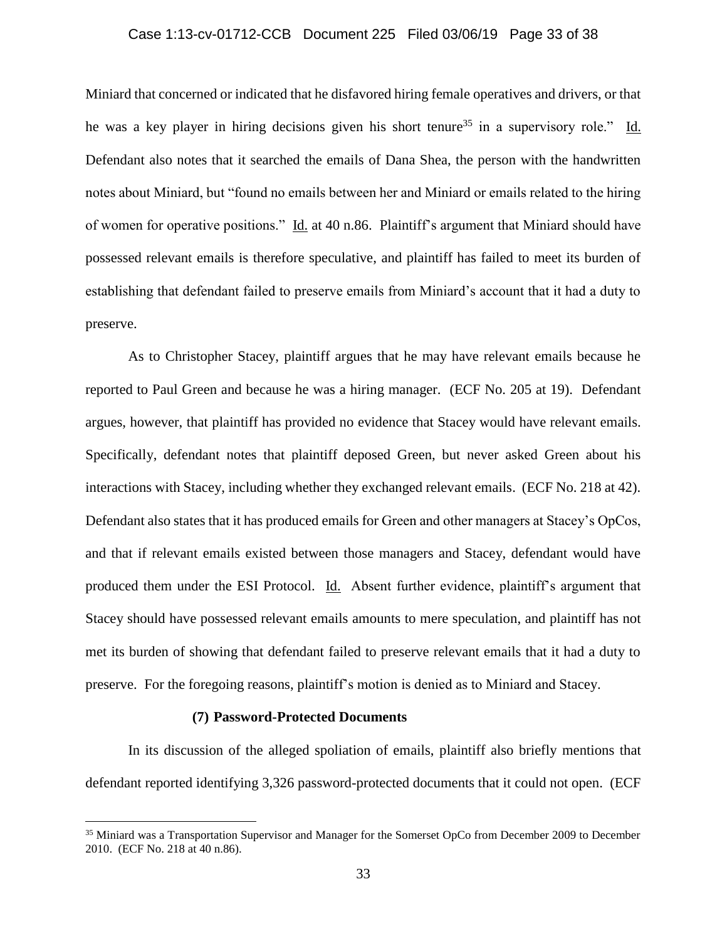## Case 1:13-cv-01712-CCB Document 225 Filed 03/06/19 Page 33 of 38

Miniard that concerned or indicated that he disfavored hiring female operatives and drivers, or that he was a key player in hiring decisions given his short tenure<sup>35</sup> in a supervisory role." Id. Defendant also notes that it searched the emails of Dana Shea, the person with the handwritten notes about Miniard, but "found no emails between her and Miniard or emails related to the hiring of women for operative positions." Id. at 40 n.86. Plaintiff's argument that Miniard should have possessed relevant emails is therefore speculative, and plaintiff has failed to meet its burden of establishing that defendant failed to preserve emails from Miniard's account that it had a duty to preserve.

As to Christopher Stacey, plaintiff argues that he may have relevant emails because he reported to Paul Green and because he was a hiring manager. (ECF No. 205 at 19). Defendant argues, however, that plaintiff has provided no evidence that Stacey would have relevant emails. Specifically, defendant notes that plaintiff deposed Green, but never asked Green about his interactions with Stacey, including whether they exchanged relevant emails. (ECF No. 218 at 42). Defendant also states that it has produced emails for Green and other managers at Stacey's OpCos, and that if relevant emails existed between those managers and Stacey, defendant would have produced them under the ESI Protocol. Id. Absent further evidence, plaintiff's argument that Stacey should have possessed relevant emails amounts to mere speculation, and plaintiff has not met its burden of showing that defendant failed to preserve relevant emails that it had a duty to preserve. For the foregoing reasons, plaintiff's motion is denied as to Miniard and Stacey.

#### **(7) Password-Protected Documents**

 $\overline{a}$ 

In its discussion of the alleged spoliation of emails, plaintiff also briefly mentions that defendant reported identifying 3,326 password-protected documents that it could not open. (ECF

<sup>&</sup>lt;sup>35</sup> Miniard was a Transportation Supervisor and Manager for the Somerset OpCo from December 2009 to December 2010. (ECF No. 218 at 40 n.86).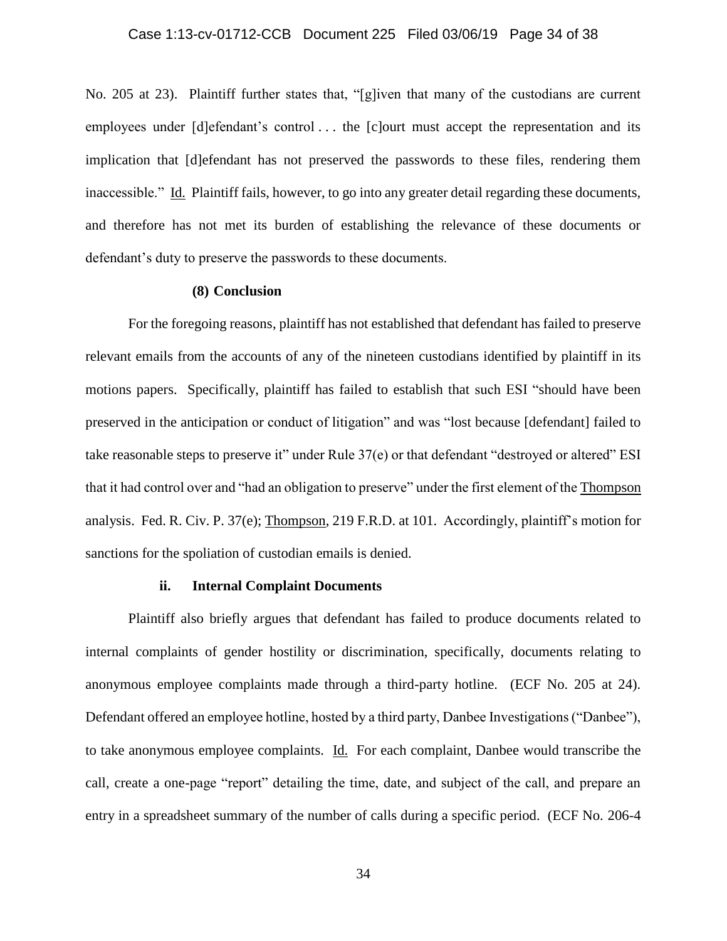No. 205 at 23). Plaintiff further states that, "[g]iven that many of the custodians are current employees under [d]efendant's control . . . the [c]ourt must accept the representation and its implication that [d]efendant has not preserved the passwords to these files, rendering them inaccessible." Id. Plaintiff fails, however, to go into any greater detail regarding these documents, and therefore has not met its burden of establishing the relevance of these documents or defendant's duty to preserve the passwords to these documents.

### **(8) Conclusion**

For the foregoing reasons, plaintiff has not established that defendant has failed to preserve relevant emails from the accounts of any of the nineteen custodians identified by plaintiff in its motions papers. Specifically, plaintiff has failed to establish that such ESI "should have been preserved in the anticipation or conduct of litigation" and was "lost because [defendant] failed to take reasonable steps to preserve it" under Rule 37(e) or that defendant "destroyed or altered" ESI that it had control over and "had an obligation to preserve" under the first element of the Thompson analysis. Fed. R. Civ. P. 37(e); Thompson, 219 F.R.D. at 101. Accordingly, plaintiff's motion for sanctions for the spoliation of custodian emails is denied.

#### **ii. Internal Complaint Documents**

Plaintiff also briefly argues that defendant has failed to produce documents related to internal complaints of gender hostility or discrimination, specifically, documents relating to anonymous employee complaints made through a third-party hotline. (ECF No. 205 at 24). Defendant offered an employee hotline, hosted by a third party, Danbee Investigations ("Danbee"), to take anonymous employee complaints. Id. For each complaint, Danbee would transcribe the call, create a one-page "report" detailing the time, date, and subject of the call, and prepare an entry in a spreadsheet summary of the number of calls during a specific period. (ECF No. 206-4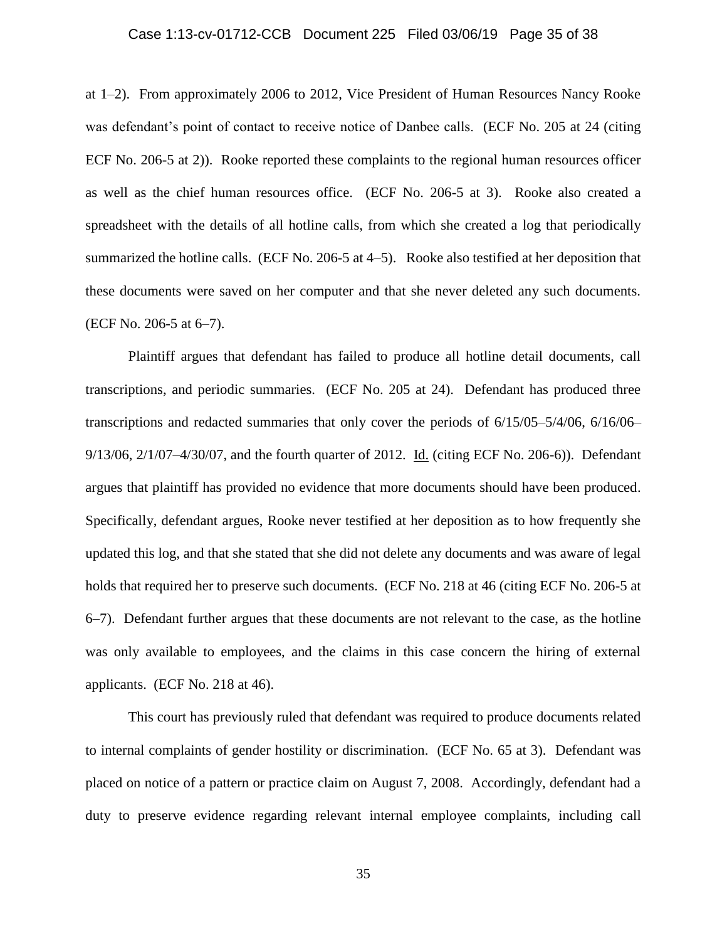### Case 1:13-cv-01712-CCB Document 225 Filed 03/06/19 Page 35 of 38

at 1–2). From approximately 2006 to 2012, Vice President of Human Resources Nancy Rooke was defendant's point of contact to receive notice of Danbee calls. (ECF No. 205 at 24 (citing ECF No. 206-5 at 2)). Rooke reported these complaints to the regional human resources officer as well as the chief human resources office. (ECF No. 206-5 at 3). Rooke also created a spreadsheet with the details of all hotline calls, from which she created a log that periodically summarized the hotline calls. (ECF No. 206-5 at 4–5). Rooke also testified at her deposition that these documents were saved on her computer and that she never deleted any such documents. (ECF No. 206-5 at 6–7).

Plaintiff argues that defendant has failed to produce all hotline detail documents, call transcriptions, and periodic summaries. (ECF No. 205 at 24). Defendant has produced three transcriptions and redacted summaries that only cover the periods of 6/15/05–5/4/06, 6/16/06– 9/13/06, 2/1/07–4/30/07, and the fourth quarter of 2012. Id. (citing ECF No. 206-6)). Defendant argues that plaintiff has provided no evidence that more documents should have been produced. Specifically, defendant argues, Rooke never testified at her deposition as to how frequently she updated this log, and that she stated that she did not delete any documents and was aware of legal holds that required her to preserve such documents. (ECF No. 218 at 46 (citing ECF No. 206-5 at 6–7). Defendant further argues that these documents are not relevant to the case, as the hotline was only available to employees, and the claims in this case concern the hiring of external applicants. (ECF No. 218 at 46).

This court has previously ruled that defendant was required to produce documents related to internal complaints of gender hostility or discrimination. (ECF No. 65 at 3). Defendant was placed on notice of a pattern or practice claim on August 7, 2008. Accordingly, defendant had a duty to preserve evidence regarding relevant internal employee complaints, including call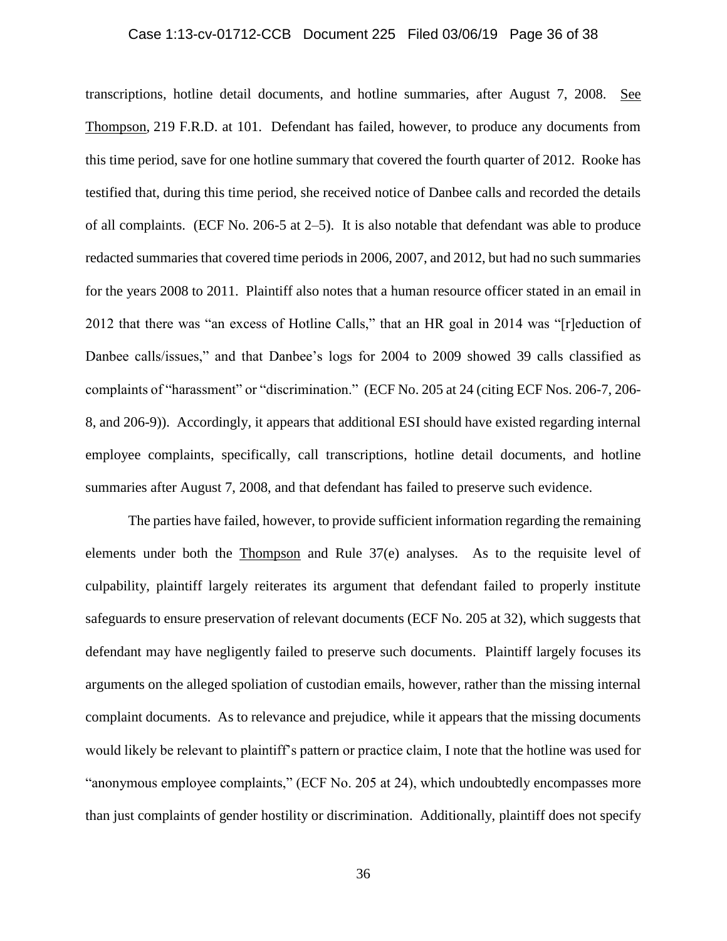## Case 1:13-cv-01712-CCB Document 225 Filed 03/06/19 Page 36 of 38

transcriptions, hotline detail documents, and hotline summaries, after August 7, 2008. See Thompson, 219 F.R.D. at 101. Defendant has failed, however, to produce any documents from this time period, save for one hotline summary that covered the fourth quarter of 2012. Rooke has testified that, during this time period, she received notice of Danbee calls and recorded the details of all complaints. (ECF No. 206-5 at 2–5). It is also notable that defendant was able to produce redacted summaries that covered time periods in 2006, 2007, and 2012, but had no such summaries for the years 2008 to 2011. Plaintiff also notes that a human resource officer stated in an email in 2012 that there was "an excess of Hotline Calls," that an HR goal in 2014 was "[r]eduction of Danbee calls/issues," and that Danbee's logs for 2004 to 2009 showed 39 calls classified as complaints of "harassment" or "discrimination." (ECF No. 205 at 24 (citing ECF Nos. 206-7, 206- 8, and 206-9)). Accordingly, it appears that additional ESI should have existed regarding internal employee complaints, specifically, call transcriptions, hotline detail documents, and hotline summaries after August 7, 2008, and that defendant has failed to preserve such evidence.

The parties have failed, however, to provide sufficient information regarding the remaining elements under both the Thompson and Rule 37(e) analyses. As to the requisite level of culpability, plaintiff largely reiterates its argument that defendant failed to properly institute safeguards to ensure preservation of relevant documents (ECF No. 205 at 32), which suggests that defendant may have negligently failed to preserve such documents. Plaintiff largely focuses its arguments on the alleged spoliation of custodian emails, however, rather than the missing internal complaint documents. As to relevance and prejudice, while it appears that the missing documents would likely be relevant to plaintiff's pattern or practice claim, I note that the hotline was used for "anonymous employee complaints," (ECF No. 205 at 24), which undoubtedly encompasses more than just complaints of gender hostility or discrimination. Additionally, plaintiff does not specify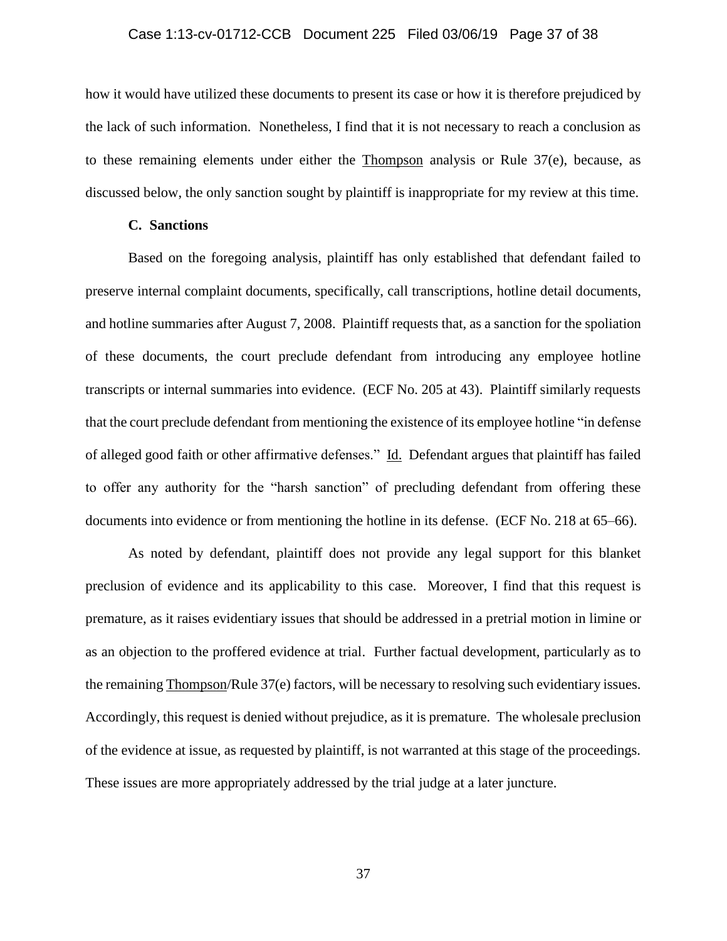### Case 1:13-cv-01712-CCB Document 225 Filed 03/06/19 Page 37 of 38

how it would have utilized these documents to present its case or how it is therefore prejudiced by the lack of such information. Nonetheless, I find that it is not necessary to reach a conclusion as to these remaining elements under either the Thompson analysis or Rule 37(e), because, as discussed below, the only sanction sought by plaintiff is inappropriate for my review at this time.

### **C. Sanctions**

Based on the foregoing analysis, plaintiff has only established that defendant failed to preserve internal complaint documents, specifically, call transcriptions, hotline detail documents, and hotline summaries after August 7, 2008. Plaintiff requests that, as a sanction for the spoliation of these documents, the court preclude defendant from introducing any employee hotline transcripts or internal summaries into evidence. (ECF No. 205 at 43). Plaintiff similarly requests that the court preclude defendant from mentioning the existence of its employee hotline "in defense of alleged good faith or other affirmative defenses." Id. Defendant argues that plaintiff has failed to offer any authority for the "harsh sanction" of precluding defendant from offering these documents into evidence or from mentioning the hotline in its defense. (ECF No. 218 at 65–66).

As noted by defendant, plaintiff does not provide any legal support for this blanket preclusion of evidence and its applicability to this case. Moreover, I find that this request is premature, as it raises evidentiary issues that should be addressed in a pretrial motion in limine or as an objection to the proffered evidence at trial. Further factual development, particularly as to the remaining Thompson/Rule 37(e) factors, will be necessary to resolving such evidentiary issues. Accordingly, this request is denied without prejudice, as it is premature. The wholesale preclusion of the evidence at issue, as requested by plaintiff, is not warranted at this stage of the proceedings. These issues are more appropriately addressed by the trial judge at a later juncture.